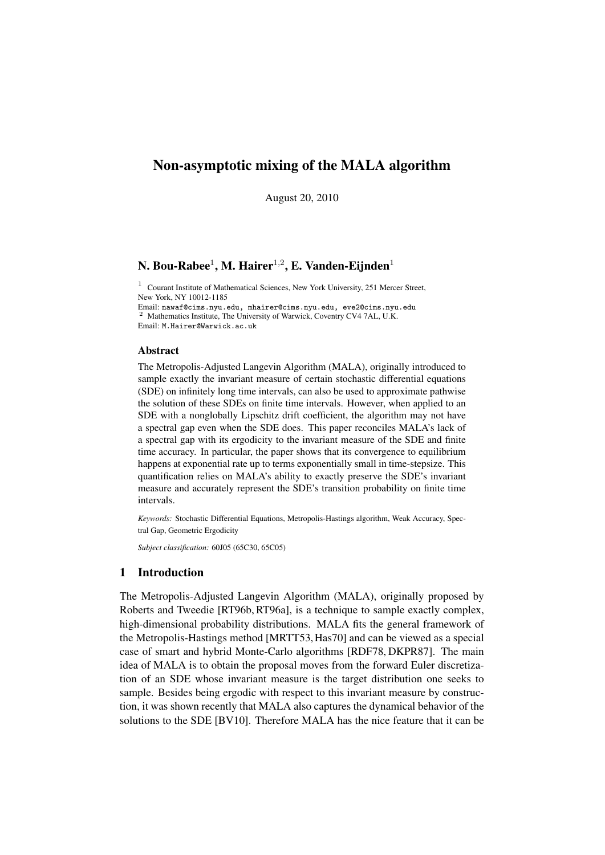# Non-asymptotic mixing of the MALA algorithm

August 20, 2010

# N. Bou-Rabee $^1$ , M. Hairer $^{1,2}$ , E. Vanden-Eijnden $^1$

<sup>1</sup> Courant Institute of Mathematical Sciences, New York University, 251 Mercer Street, New York, NY 10012-1185

Email: nawaf@cims.nyu.edu, mhairer@cims.nyu.edu, eve2@cims.nyu.edu <sup>2</sup> Mathematics Institute, The University of Warwick, Coventry CV4 7AL, U.K. Email: M.Hairer@Warwick.ac.uk

# Abstract

The Metropolis-Adjusted Langevin Algorithm (MALA), originally introduced to sample exactly the invariant measure of certain stochastic differential equations (SDE) on infinitely long time intervals, can also be used to approximate pathwise the solution of these SDEs on finite time intervals. However, when applied to an SDE with a nonglobally Lipschitz drift coefficient, the algorithm may not have a spectral gap even when the SDE does. This paper reconciles MALA's lack of a spectral gap with its ergodicity to the invariant measure of the SDE and finite time accuracy. In particular, the paper shows that its convergence to equilibrium happens at exponential rate up to terms exponentially small in time-stepsize. This quantification relies on MALA's ability to exactly preserve the SDE's invariant measure and accurately represent the SDE's transition probability on finite time intervals.

*Keywords:* Stochastic Differential Equations, Metropolis-Hastings algorithm, Weak Accuracy, Spectral Gap, Geometric Ergodicity

*Subject classification:* 60J05 (65C30, 65C05)

# 1 Introduction

The Metropolis-Adjusted Langevin Algorithm (MALA), originally proposed by Roberts and Tweedie [RT96b, RT96a], is a technique to sample exactly complex, high-dimensional probability distributions. MALA fits the general framework of the Metropolis-Hastings method [MRTT53,Has70] and can be viewed as a special case of smart and hybrid Monte-Carlo algorithms [RDF78, DKPR87]. The main idea of MALA is to obtain the proposal moves from the forward Euler discretization of an SDE whose invariant measure is the target distribution one seeks to sample. Besides being ergodic with respect to this invariant measure by construction, it was shown recently that MALA also captures the dynamical behavior of the solutions to the SDE [BV10]. Therefore MALA has the nice feature that it can be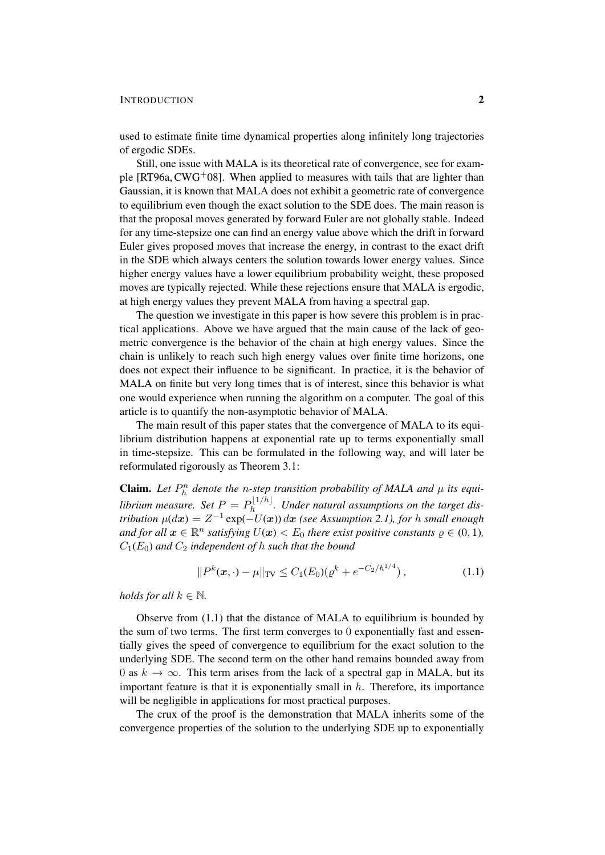## INTRODUCTION 2

used to estimate finite time dynamical properties along infinitely long trajectories of ergodic SDEs.

Still, one issue with MALA is its theoretical rate of convergence, see for example  $[RT96a, CWG<sup>+</sup>08]$ . When applied to measures with tails that are lighter than Gaussian, it is known that MALA does not exhibit a geometric rate of convergence to equilibrium even though the exact solution to the SDE does. The main reason is that the proposal moves generated by forward Euler are not globally stable. Indeed for any time-stepsize one can find an energy value above which the drift in forward Euler gives proposed moves that increase the energy, in contrast to the exact drift in the SDE which always centers the solution towards lower energy values. Since higher energy values have a lower equilibrium probability weight, these proposed moves are typically rejected. While these rejections ensure that MALA is ergodic, at high energy values they prevent MALA from having a spectral gap.

The question we investigate in this paper is how severe this problem is in practical applications. Above we have argued that the main cause of the lack of geometric convergence is the behavior of the chain at high energy values. Since the chain is unlikely to reach such high energy values over finite time horizons, one does not expect their influence to be significant. In practice, it is the behavior of MALA on finite but very long times that is of interest, since this behavior is what one would experience when running the algorithm on a computer. The goal of this article is to quantify the non-asymptotic behavior of MALA.

The main result of this paper states that the convergence of MALA to its equilibrium distribution happens at exponential rate up to terms exponentially small in time-stepsize. This can be formulated in the following way, and will later be reformulated rigorously as Theorem 3.1:

**Claim.** Let  $P_h^n$  denote the *n*-step transition probability of MALA and  $\mu$  its equi*librium measure.* Set  $P = P_h^{\lfloor 1/h \rfloor}$  $h^{[1/n]}$ . Under natural assumptions on the target dis*tribution*  $\mu(dx) = Z^{-1} \exp(-U(x)) dx$  *(see Assumption 2.1), for h small enough* and for all  $x \in \mathbb{R}^n$  satisfying  $U(x) < E_0$  there exist positive constants  $\varrho \in (0,1)$ *,*  $C_1(E_0)$  *and*  $C_2$  *independent of h such that the bound* 

$$
||P^k(\mathbf{x}, \cdot) - \mu||_{\text{TV}} \le C_1(E_0)(\varrho^k + e^{-C_2/h^{1/4}}), \qquad (1.1)
$$

*holds for all*  $k \in \mathbb{N}$ *.* 

Observe from  $(1.1)$  that the distance of MALA to equilibrium is bounded by the sum of two terms. The first term converges to 0 exponentially fast and essentially gives the speed of convergence to equilibrium for the exact solution to the underlying SDE. The second term on the other hand remains bounded away from 0 as  $k \to \infty$ . This term arises from the lack of a spectral gap in MALA, but its important feature is that it is exponentially small in  $h$ . Therefore, its importance will be negligible in applications for most practical purposes.

The crux of the proof is the demonstration that MALA inherits some of the convergence properties of the solution to the underlying SDE up to exponentially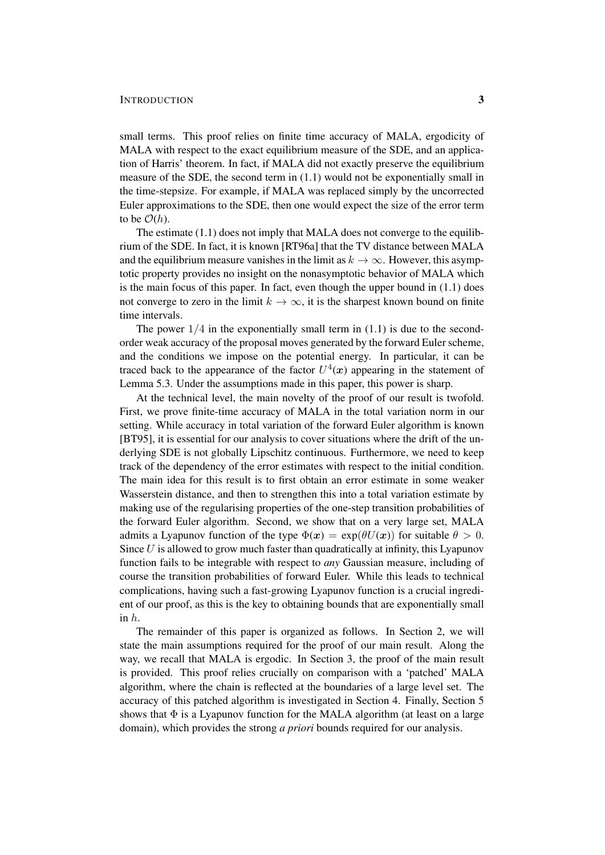### INTRODUCTION 3

small terms. This proof relies on finite time accuracy of MALA, ergodicity of MALA with respect to the exact equilibrium measure of the SDE, and an application of Harris' theorem. In fact, if MALA did not exactly preserve the equilibrium measure of the SDE, the second term in (1.1) would not be exponentially small in the time-stepsize. For example, if MALA was replaced simply by the uncorrected Euler approximations to the SDE, then one would expect the size of the error term to be  $\mathcal{O}(h)$ .

The estimate (1.1) does not imply that MALA does not converge to the equilibrium of the SDE. In fact, it is known [RT96a] that the TV distance between MALA and the equilibrium measure vanishes in the limit as  $k \to \infty$ . However, this asymptotic property provides no insight on the nonasymptotic behavior of MALA which is the main focus of this paper. In fact, even though the upper bound in (1.1) does not converge to zero in the limit  $k \to \infty$ , it is the sharpest known bound on finite time intervals.

The power  $1/4$  in the exponentially small term in  $(1.1)$  is due to the secondorder weak accuracy of the proposal moves generated by the forward Euler scheme, and the conditions we impose on the potential energy. In particular, it can be traced back to the appearance of the factor  $U^4(x)$  appearing in the statement of Lemma 5.3. Under the assumptions made in this paper, this power is sharp.

At the technical level, the main novelty of the proof of our result is twofold. First, we prove finite-time accuracy of MALA in the total variation norm in our setting. While accuracy in total variation of the forward Euler algorithm is known [BT95], it is essential for our analysis to cover situations where the drift of the underlying SDE is not globally Lipschitz continuous. Furthermore, we need to keep track of the dependency of the error estimates with respect to the initial condition. The main idea for this result is to first obtain an error estimate in some weaker Wasserstein distance, and then to strengthen this into a total variation estimate by making use of the regularising properties of the one-step transition probabilities of the forward Euler algorithm. Second, we show that on a very large set, MALA admits a Lyapunov function of the type  $\Phi(x) = \exp(\theta U(x))$  for suitable  $\theta > 0$ . Since  $U$  is allowed to grow much faster than quadratically at infinity, this Lyapunov function fails to be integrable with respect to *any* Gaussian measure, including of course the transition probabilities of forward Euler. While this leads to technical complications, having such a fast-growing Lyapunov function is a crucial ingredient of our proof, as this is the key to obtaining bounds that are exponentially small in h.

The remainder of this paper is organized as follows. In Section 2, we will state the main assumptions required for the proof of our main result. Along the way, we recall that MALA is ergodic. In Section 3, the proof of the main result is provided. This proof relies crucially on comparison with a 'patched' MALA algorithm, where the chain is reflected at the boundaries of a large level set. The accuracy of this patched algorithm is investigated in Section 4. Finally, Section 5 shows that  $\Phi$  is a Lyapunov function for the MALA algorithm (at least on a large domain), which provides the strong *a priori* bounds required for our analysis.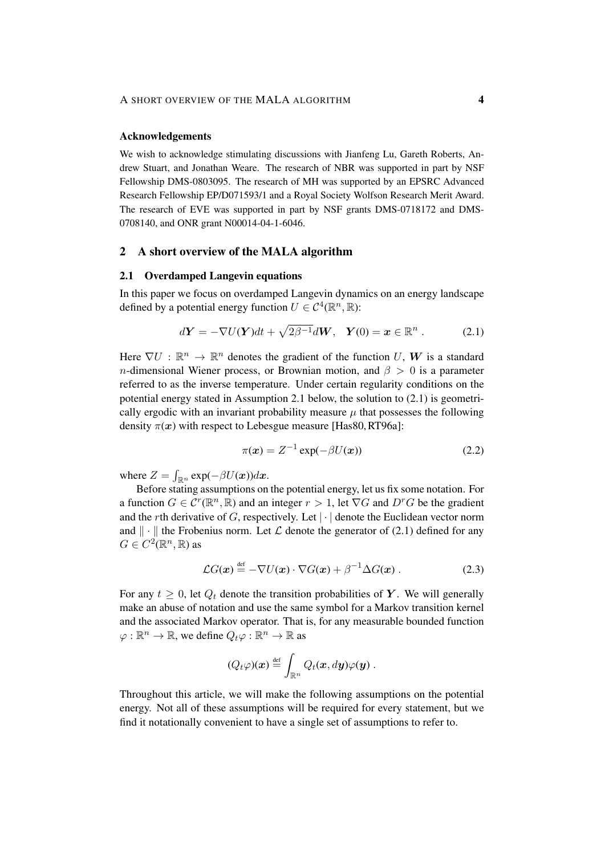#### Acknowledgements

We wish to acknowledge stimulating discussions with Jianfeng Lu, Gareth Roberts, Andrew Stuart, and Jonathan Weare. The research of NBR was supported in part by NSF Fellowship DMS-0803095. The research of MH was supported by an EPSRC Advanced Research Fellowship EP/D071593/1 and a Royal Society Wolfson Research Merit Award. The research of EVE was supported in part by NSF grants DMS-0718172 and DMS-0708140, and ONR grant N00014-04-1-6046.

# 2 A short overview of the MALA algorithm

### 2.1 Overdamped Langevin equations

In this paper we focus on overdamped Langevin dynamics on an energy landscape defined by a potential energy function  $U \in C^4(\mathbb{R}^n, \mathbb{R})$ :

$$
d\mathbf{Y} = -\nabla U(\mathbf{Y})dt + \sqrt{2\beta^{-1}}d\mathbf{W}, \quad \mathbf{Y}(0) = \mathbf{x} \in \mathbb{R}^n . \tag{2.1}
$$

Here  $\nabla U : \mathbb{R}^n \to \mathbb{R}^n$  denotes the gradient of the function U, W is a standard *n*-dimensional Wiener process, or Brownian motion, and  $\beta > 0$  is a parameter referred to as the inverse temperature. Under certain regularity conditions on the potential energy stated in Assumption 2.1 below, the solution to (2.1) is geometrically ergodic with an invariant probability measure  $\mu$  that possesses the following density  $\pi(x)$  with respect to Lebesgue measure [Has80, RT96a]:

$$
\pi(\boldsymbol{x}) = Z^{-1} \exp(-\beta U(\boldsymbol{x})) \tag{2.2}
$$

where  $Z = \int_{\mathbb{R}^n} \exp(-\beta U(\boldsymbol{x})) d\boldsymbol{x}$ .

Before stating assumptions on the potential energy, let us fix some notation. For a function  $G \in \mathcal{C}^r(\mathbb{R}^n, \mathbb{R})$  and an integer  $r > 1$ , let  $\nabla G$  and  $D^r G$  be the gradient and the rth derivative of G, respectively. Let  $|\cdot|$  denote the Euclidean vector norm and  $\|\cdot\|$  the Frobenius norm. Let  $\mathcal L$  denote the generator of (2.1) defined for any  $G \in C^2(\mathbb{R}^n, \mathbb{R})$  as

$$
\mathcal{L}G(\boldsymbol{x}) \stackrel{\text{def}}{=} -\nabla U(\boldsymbol{x}) \cdot \nabla G(\boldsymbol{x}) + \beta^{-1} \Delta G(\boldsymbol{x}) . \qquad (2.3)
$$

For any  $t \geq 0$ , let  $Q_t$  denote the transition probabilities of Y. We will generally make an abuse of notation and use the same symbol for a Markov transition kernel and the associated Markov operator. That is, for any measurable bounded function  $\varphi : \mathbb{R}^n \to \mathbb{R}$ , we define  $Q_t \varphi : \mathbb{R}^n \to \mathbb{R}$  as

$$
(Q_t\varphi)(\boldsymbol{x})\stackrel{\text{def}}{=}\int_{\mathbb{R}^n}Q_t(\boldsymbol{x},d\boldsymbol{y})\varphi(\boldsymbol{y})\ .
$$

Throughout this article, we will make the following assumptions on the potential energy. Not all of these assumptions will be required for every statement, but we find it notationally convenient to have a single set of assumptions to refer to.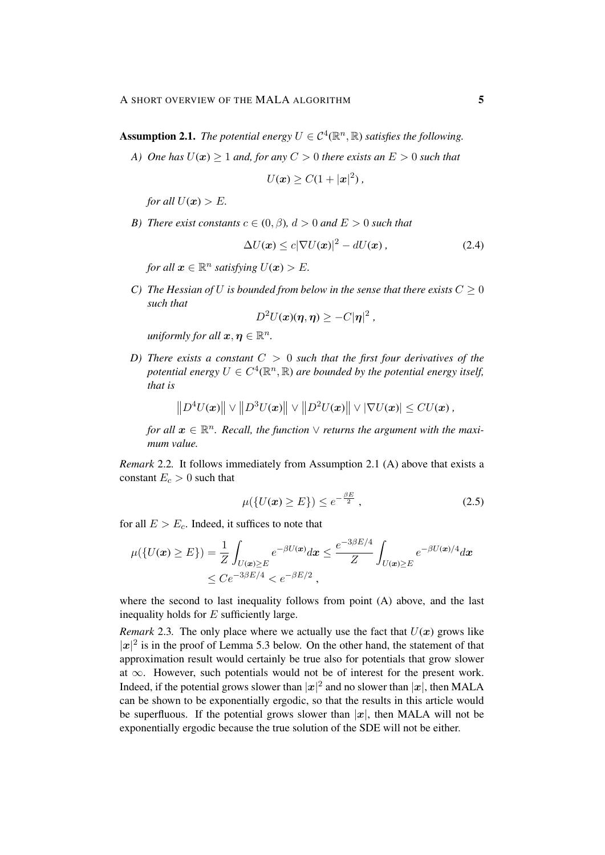**Assumption 2.1.** *The potential energy*  $U \in C^4(\mathbb{R}^n, \mathbb{R})$  *satisfies the following.* 

*A) One has*  $U(x) \ge 1$  *and, for any*  $C > 0$  *there exists an*  $E > 0$  *such that* 

$$
U(\boldsymbol{x}) \geq C(1+|\boldsymbol{x}|^2),
$$

*for all*  $U(x) > E$ *.* 

*B*) *There exist constants*  $c \in (0, \beta)$ ,  $d > 0$  *and*  $E > 0$  *such that* 

$$
\Delta U(\boldsymbol{x}) \le c|\nabla U(\boldsymbol{x})|^2 - dU(\boldsymbol{x}), \qquad (2.4)
$$

*for all*  $x \in \mathbb{R}^n$  *satisfying*  $U(x) > E$ *.* 

*C)* The Hessian of U is bounded from below in the sense that there exists  $C \geq 0$ *such that*

$$
D^2U(x)(\eta,\eta) \geq -C|\eta|^2,
$$

*uniformly for all*  $x, \eta \in \mathbb{R}^n$ *.* 

*D) There exists a constant* C > 0 *such that the first four derivatives of the* potential energy  $U \in C^4(\mathbb{R}^n, \mathbb{R})$  are bounded by the potential energy itself, *that is*

$$
\left\|D^4U(\boldsymbol{x})\right\| \vee \left\|D^3U(\boldsymbol{x})\right\| \vee \left\|D^2U(\boldsymbol{x})\right\| \vee \left|\nabla U(\boldsymbol{x})\right| \leq CU(\boldsymbol{x}),
$$

*for all*  $x \in \mathbb{R}^n$ . Recall, the function  $\vee$  returns the argument with the maxi*mum value.*

*Remark* 2.2*.* It follows immediately from Assumption 2.1 (A) above that exists a constant  $E_c > 0$  such that

$$
\mu(\{U(\mathbf{x}) \ge E\}) \le e^{-\frac{\beta E}{2}},\tag{2.5}
$$

for all  $E > E_c$ . Indeed, it suffices to note that

$$
\mu({U(\mathbf{x}) \ge E}) = \frac{1}{Z} \int_{U(\mathbf{x}) \ge E} e^{-\beta U(\mathbf{x})} d\mathbf{x} \le \frac{e^{-3\beta E/4}}{Z} \int_{U(\mathbf{x}) \ge E} e^{-\beta U(\mathbf{x})/4} d\mathbf{x}
$$
  
\$\le C e^{-3\beta E/4} < e^{-\beta E/2},\$

where the second to last inequality follows from point (A) above, and the last inequality holds for  $E$  sufficiently large.

*Remark* 2.3. The only place where we actually use the fact that  $U(x)$  grows like  $|x|^2$  is in the proof of Lemma 5.3 below. On the other hand, the statement of that approximation result would certainly be true also for potentials that grow slower at  $\infty$ . However, such potentials would not be of interest for the present work. Indeed, if the potential grows slower than  $|x|^2$  and no slower than  $|x|$ , then MALA can be shown to be exponentially ergodic, so that the results in this article would be superfluous. If the potential grows slower than  $|x|$ , then MALA will not be exponentially ergodic because the true solution of the SDE will not be either.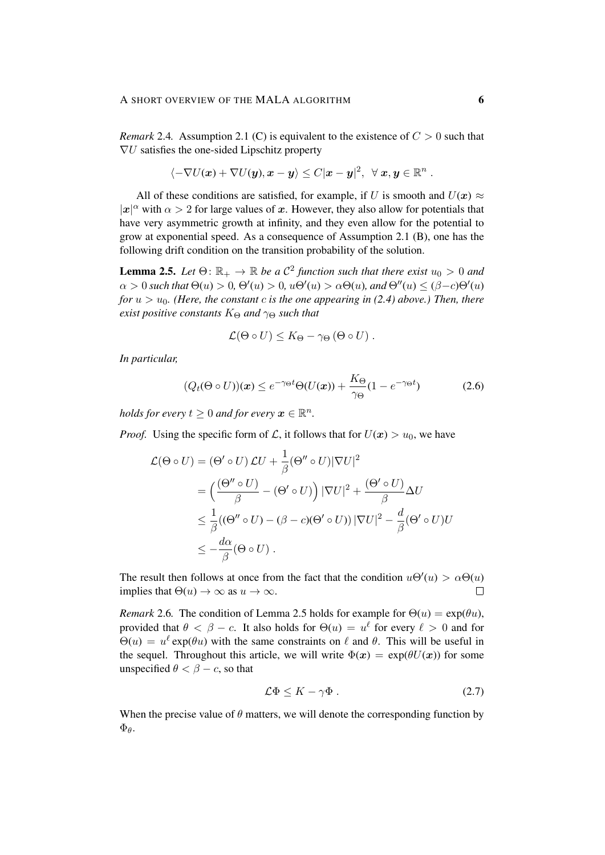*Remark* 2.4. Assumption 2.1 (C) is equivalent to the existence of  $C > 0$  such that  $\nabla U$  satisfies the one-sided Lipschitz property

$$
\langle -\nabla U(\boldsymbol{x}) + \nabla U(\boldsymbol{y}), \boldsymbol{x} - \boldsymbol{y} \rangle \leq C |\boldsymbol{x} - \boldsymbol{y}|^2, \ \ \forall \ \boldsymbol{x}, \boldsymbol{y} \in \mathbb{R}^n \ .
$$

All of these conditions are satisfied, for example, if U is smooth and  $U(x) \approx$  $|x|^{\alpha}$  with  $\alpha > 2$  for large values of x. However, they also allow for potentials that have very asymmetric growth at infinity, and they even allow for the potential to grow at exponential speed. As a consequence of Assumption 2.1 (B), one has the following drift condition on the transition probability of the solution.

**Lemma 2.5.** Let  $\Theta: \mathbb{R}_+ \to \mathbb{R}$  be a  $\mathcal{C}^2$  function such that there exist  $u_0 > 0$  and  $\alpha > 0$  such that  $\Theta(u) > 0$ ,  $\Theta'(u) > 0$ ,  $u\Theta'(u) > \alpha \Theta(u)$ , and  $\Theta''(u) \leq (\beta - c)\Theta'(u)$ *for*  $u > u_0$ *. (Here, the constant c is the one appearing in (2.4) above.) Then, there exist positive constants*  $K_{\Theta}$  *and*  $\gamma_{\Theta}$  *such that* 

$$
\mathcal{L}(\Theta \circ U) \leq K_{\Theta} - \gamma_{\Theta} (\Theta \circ U) .
$$

*In particular,*

$$
(Q_t(\Theta \circ U))(x) \le e^{-\gamma_{\Theta}t} \Theta(U(x)) + \frac{K_{\Theta}}{\gamma_{\Theta}} (1 - e^{-\gamma_{\Theta}t})
$$
(2.6)

*holds for every*  $t \geq 0$  *and for every*  $\boldsymbol{x} \in \mathbb{R}^n$ .

*Proof.* Using the specific form of L, it follows that for  $U(x) > u_0$ , we have

$$
\mathcal{L}(\Theta \circ U) = (\Theta' \circ U) \mathcal{L}U + \frac{1}{\beta} (\Theta'' \circ U) |\nabla U|^2
$$
  
= 
$$
\left( \frac{(\Theta'' \circ U)}{\beta} - (\Theta' \circ U) \right) |\nabla U|^2 + \frac{(\Theta' \circ U)}{\beta} \Delta U
$$
  

$$
\leq \frac{1}{\beta} ((\Theta'' \circ U) - (\beta - c)(\Theta' \circ U)) |\nabla U|^2 - \frac{d}{\beta} (\Theta' \circ U)U
$$
  

$$
\leq -\frac{d\alpha}{\beta} (\Theta \circ U).
$$

The result then follows at once from the fact that the condition  $u\Theta'(u) > \alpha\Theta(u)$ implies that  $\Theta(u) \to \infty$  as  $u \to \infty$ .  $\Box$ 

*Remark* 2.6. The condition of Lemma 2.5 holds for example for  $\Theta(u) = \exp(\theta u)$ , provided that  $\theta < \beta - c$ . It also holds for  $\Theta(u) = u^{\ell}$  for every  $\ell > 0$  and for  $\Theta(u) = u^{\ell} \exp(\theta u)$  with the same constraints on  $\ell$  and  $\theta$ . This will be useful in the sequel. Throughout this article, we will write  $\Phi(x) = \exp(\theta U(x))$  for some unspecified  $\theta < \beta - c$ , so that

$$
\mathcal{L}\Phi \le K - \gamma \Phi \tag{2.7}
$$

When the precise value of  $\theta$  matters, we will denote the corresponding function by  $\Phi_{\theta}$ .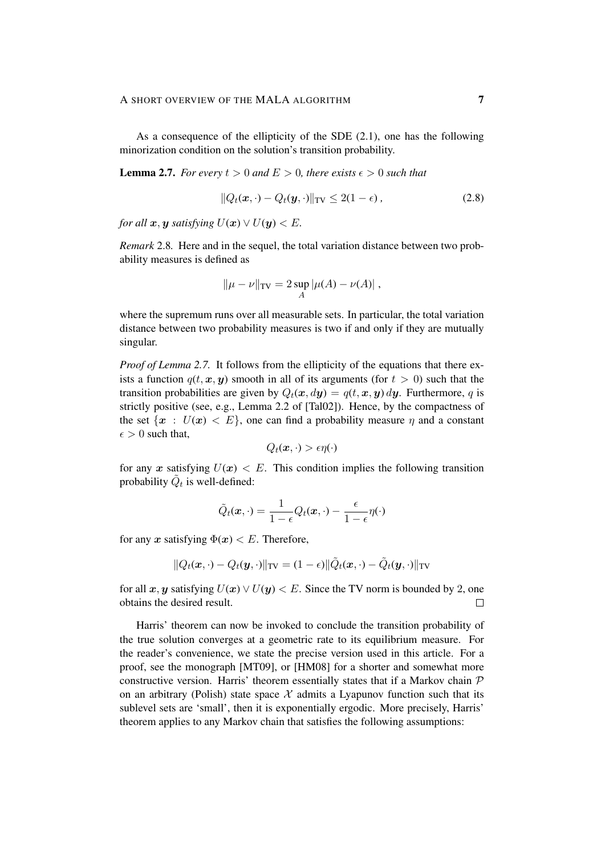As a consequence of the ellipticity of the SDE (2.1), one has the following minorization condition on the solution's transition probability.

# **Lemma 2.7.** *For every*  $t > 0$  *and*  $E > 0$ *, there exists*  $\epsilon > 0$  *such that*

$$
||Q_t(\boldsymbol{x},\cdot) - Q_t(\boldsymbol{y},\cdot)||_{\text{TV}} \le 2(1-\epsilon), \qquad (2.8)
$$

*for all*  $x, y$  *satisfying*  $U(x) \vee U(y) < E$ *.* 

*Remark* 2.8*.* Here and in the sequel, the total variation distance between two probability measures is defined as

$$
\|\mu - \nu\|_{\text{TV}} = 2 \sup_{A} |\mu(A) - \nu(A)|,
$$

where the supremum runs over all measurable sets. In particular, the total variation distance between two probability measures is two if and only if they are mutually singular.

*Proof of Lemma 2.7.* It follows from the ellipticity of the equations that there exists a function  $q(t, x, y)$  smooth in all of its arguments (for  $t > 0$ ) such that the transition probabilities are given by  $Q_t(x, dy) = q(t, x, y) dy$ . Furthermore, q is strictly positive (see, e.g., Lemma 2.2 of [Tal02]). Hence, by the compactness of the set  $\{x : U(x) < E\}$ , one can find a probability measure  $\eta$  and a constant  $\epsilon > 0$  such that,

$$
Q_t(\boldsymbol{x},\cdot) > \epsilon \eta(\cdot)
$$

for any x satisfying  $U(x) < E$ . This condition implies the following transition probability  $\tilde{Q}_t$  is well-defined:

$$
\tilde{Q}_t(\boldsymbol{x},\cdot) = \frac{1}{1-\epsilon}Q_t(\boldsymbol{x},\cdot) - \frac{\epsilon}{1-\epsilon}\eta(\cdot)
$$

for any x satisfying  $\Phi(x) < E$ . Therefore,

$$
\|Q_t(\boldsymbol{x},\cdot)-Q_t(\boldsymbol{y},\cdot)\|_{\text{TV}}=(1-\epsilon)\|\tilde{Q}_t(\boldsymbol{x},\cdot)-\tilde{Q}_t(\boldsymbol{y},\cdot)\|_{\text{TV}}
$$

for all x, y satisfying  $U(x) \vee U(y) < E$ . Since the TV norm is bounded by 2, one obtains the desired result.  $\Box$ 

Harris' theorem can now be invoked to conclude the transition probability of the true solution converges at a geometric rate to its equilibrium measure. For the reader's convenience, we state the precise version used in this article. For a proof, see the monograph [MT09], or [HM08] for a shorter and somewhat more constructive version. Harris' theorem essentially states that if a Markov chain  $P$ on an arbitrary (Polish) state space  $X$  admits a Lyapunov function such that its sublevel sets are 'small', then it is exponentially ergodic. More precisely, Harris' theorem applies to any Markov chain that satisfies the following assumptions: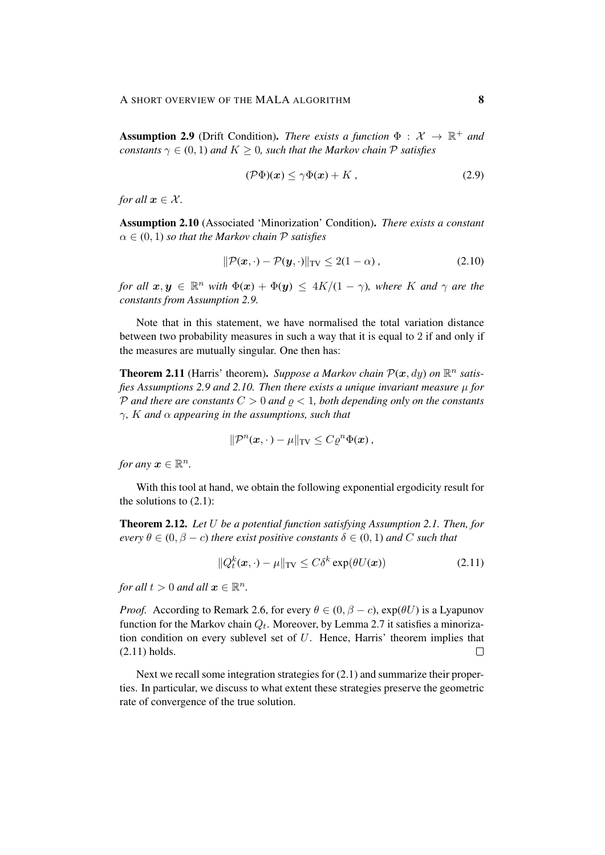**Assumption 2.9** (Drift Condition). *There exists a function*  $\Phi : \mathcal{X} \to \mathbb{R}^+$  *and constants*  $\gamma \in (0, 1)$  *and*  $K \geq 0$ *, such that the Markov chain*  $P$  *satisfies* 

$$
(\mathcal{P}\Phi)(x) \le \gamma \Phi(x) + K \,, \tag{2.9}
$$

*for all*  $x \in \mathcal{X}$ *.* 

Assumption 2.10 (Associated 'Minorization' Condition). *There exists a constant*  $\alpha \in (0, 1)$  *so that the Markov chain*  $P$  *satisfies* 

$$
\|\mathcal{P}(\boldsymbol{x},\cdot) - \mathcal{P}(\boldsymbol{y},\cdot)\|_{\text{TV}} \le 2(1-\alpha),\tag{2.10}
$$

*for all*  $x, y \in \mathbb{R}^n$  *with*  $\Phi(x) + \Phi(y) \le 4K/(1 - \gamma)$ *, where* K *and*  $\gamma$  *are the constants from Assumption 2.9.*

Note that in this statement, we have normalised the total variation distance between two probability measures in such a way that it is equal to 2 if and only if the measures are mutually singular. One then has:

**Theorem 2.11** (Harris' theorem). Suppose a Markov chain  $\mathcal{P}(x, dy)$  on  $\mathbb{R}^n$  satis*fies Assumptions 2.9 and 2.10. Then there exists a unique invariant measure* µ *for* P and there are constants  $C > 0$  and  $\rho < 1$ , both depending only on the constants γ*,* K *and* α *appearing in the assumptions, such that*

$$
\|\mathcal{P}^n(\boldsymbol{x},\cdot)-\mu\|_{\text{TV}} \leq C\varrho^n\Phi(\boldsymbol{x}),
$$

*for any*  $x \in \mathbb{R}^n$ .

With this tool at hand, we obtain the following exponential ergodicity result for the solutions to  $(2.1)$ :

Theorem 2.12. *Let* U *be a potential function satisfying Assumption 2.1. Then, for every*  $\theta \in (0, \beta - c)$  *there exist positive constants*  $\delta \in (0, 1)$  *and* C *such that* 

$$
||Q_t^k(\boldsymbol{x}, \cdot) - \mu||_{\text{TV}} \le C\delta^k \exp(\theta U(\boldsymbol{x})) \tag{2.11}
$$

*for all*  $t > 0$  *and all*  $\boldsymbol{x} \in \mathbb{R}^n$ *.* 

*Proof.* According to Remark 2.6, for every  $\theta \in (0, \beta - c)$ ,  $\exp(\theta U)$  is a Lyapunov function for the Markov chain  $Q_t$ . Moreover, by Lemma 2.7 it satisfies a minorization condition on every sublevel set of  $U$ . Hence, Harris' theorem implies that (2.11) holds.  $\Box$ 

Next we recall some integration strategies for (2.1) and summarize their properties. In particular, we discuss to what extent these strategies preserve the geometric rate of convergence of the true solution.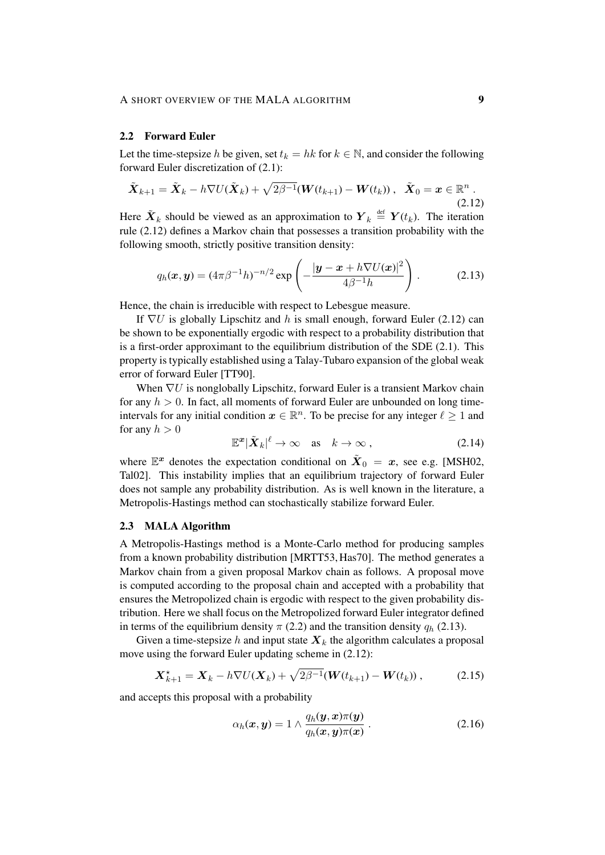#### 2.2 Forward Euler

Let the time-stepsize h be given, set  $t_k = hk$  for  $k \in \mathbb{N}$ , and consider the following forward Euler discretization of (2.1):

$$
\tilde{\boldsymbol{X}}_{k+1} = \tilde{\boldsymbol{X}}_k - h \nabla U(\tilde{\boldsymbol{X}}_k) + \sqrt{2\beta^{-1}} (\boldsymbol{W}(t_{k+1}) - \boldsymbol{W}(t_k)), \ \ \tilde{\boldsymbol{X}}_0 = \boldsymbol{x} \in \mathbb{R}^n \ . \tag{2.12}
$$

Here  $\tilde{\boldsymbol{X}}_k$  should be viewed as an approximation to  $\boldsymbol{Y}_k \stackrel{\text{def}}{=} \boldsymbol{Y}(t_k)$ . The iteration rule (2.12) defines a Markov chain that possesses a transition probability with the following smooth, strictly positive transition density:

$$
q_h(\boldsymbol{x}, \boldsymbol{y}) = (4\pi\beta^{-1}h)^{-n/2} \exp\left(-\frac{|\boldsymbol{y} - \boldsymbol{x} + h\nabla U(\boldsymbol{x})|^2}{4\beta^{-1}h}\right).
$$
 (2.13)

Hence, the chain is irreducible with respect to Lebesgue measure.

If  $\nabla U$  is globally Lipschitz and h is small enough, forward Euler (2.12) can be shown to be exponentially ergodic with respect to a probability distribution that is a first-order approximant to the equilibrium distribution of the SDE (2.1). This property is typically established using a Talay-Tubaro expansion of the global weak error of forward Euler [TT90].

When  $\nabla U$  is nonglobally Lipschitz, forward Euler is a transient Markov chain for any  $h > 0$ . In fact, all moments of forward Euler are unbounded on long timeintervals for any initial condition  $x \in \mathbb{R}^n$ . To be precise for any integer  $\ell \geq 1$  and for any  $h > 0$ 

$$
\mathbb{E}^x |\tilde{\boldsymbol{X}}_k|^{\ell} \to \infty \quad \text{as} \quad k \to \infty , \tag{2.14}
$$

where  $\mathbb{E}^x$  denotes the expectation conditional on  $\tilde{X}_0 = x$ , see e.g. [MSH02, Tal02]. This instability implies that an equilibrium trajectory of forward Euler does not sample any probability distribution. As is well known in the literature, a Metropolis-Hastings method can stochastically stabilize forward Euler.

## 2.3 MALA Algorithm

A Metropolis-Hastings method is a Monte-Carlo method for producing samples from a known probability distribution [MRTT53, Has70]. The method generates a Markov chain from a given proposal Markov chain as follows. A proposal move is computed according to the proposal chain and accepted with a probability that ensures the Metropolized chain is ergodic with respect to the given probability distribution. Here we shall focus on the Metropolized forward Euler integrator defined in terms of the equilibrium density  $\pi$  (2.2) and the transition density  $q_h$  (2.13).

Given a time-stepsize h and input state  $X_k$  the algorithm calculates a proposal move using the forward Euler updating scheme in (2.12):

$$
\mathbf{X}_{k+1}^{\star} = \mathbf{X}_k - h \nabla U(\mathbf{X}_k) + \sqrt{2\beta^{-1}} (\mathbf{W}(t_{k+1}) - \mathbf{W}(t_k)), \tag{2.15}
$$

and accepts this proposal with a probability

$$
\alpha_h(\boldsymbol{x}, \boldsymbol{y}) = 1 \wedge \frac{q_h(\boldsymbol{y}, \boldsymbol{x}) \pi(\boldsymbol{y})}{q_h(\boldsymbol{x}, \boldsymbol{y}) \pi(\boldsymbol{x})} . \tag{2.16}
$$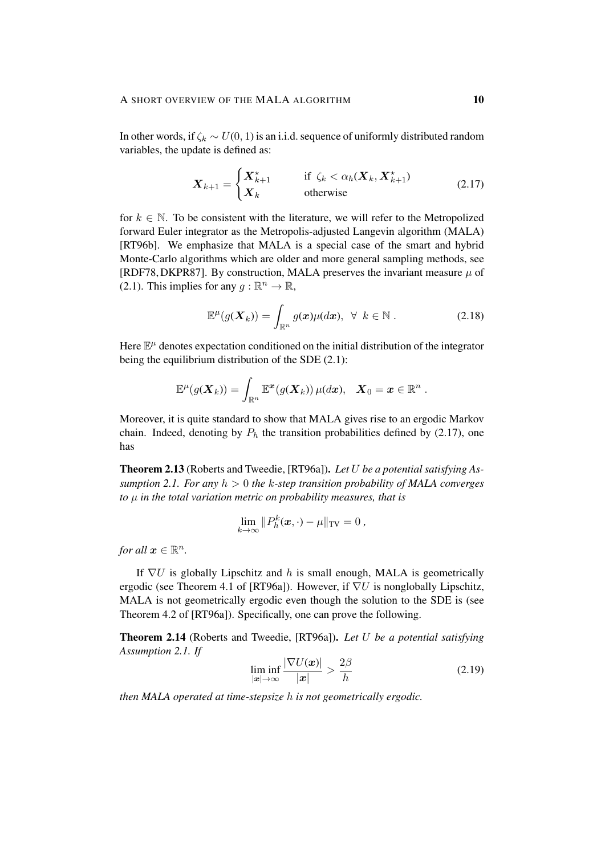In other words, if  $\zeta_k \sim U(0, 1)$  is an i.i.d. sequence of uniformly distributed random variables, the update is defined as:

$$
\boldsymbol{X}_{k+1} = \begin{cases} \boldsymbol{X}_{k+1}^{\star} & \text{if } \zeta_k < \alpha_h(\boldsymbol{X}_k, \boldsymbol{X}_{k+1}^{\star}) \\ \boldsymbol{X}_k & \text{otherwise} \end{cases} \tag{2.17}
$$

for  $k \in \mathbb{N}$ . To be consistent with the literature, we will refer to the Metropolized forward Euler integrator as the Metropolis-adjusted Langevin algorithm (MALA) [RT96b]. We emphasize that MALA is a special case of the smart and hybrid Monte-Carlo algorithms which are older and more general sampling methods, see [RDF78, DKPR87]. By construction, MALA preserves the invariant measure  $\mu$  of (2.1). This implies for any  $g : \mathbb{R}^n \to \mathbb{R}$ ,

$$
\mathbb{E}^{\mu}(g(\boldsymbol{X}_{k})) = \int_{\mathbb{R}^{n}} g(\boldsymbol{x}) \mu(d\boldsymbol{x}), \ \ \forall \ \ k \in \mathbb{N} \ . \tag{2.18}
$$

Here  $\mathbb{E}^{\mu}$  denotes expectation conditioned on the initial distribution of the integrator being the equilibrium distribution of the SDE (2.1):

$$
\mathbb{E}^{\mu}(g(\boldsymbol{X}_k)) = \int_{\mathbb{R}^n} \mathbb{E}^{\boldsymbol{x}}(g(\boldsymbol{X}_k)) \, \mu(d\boldsymbol{x}), \quad \boldsymbol{X}_0 = \boldsymbol{x} \in \mathbb{R}^n \; .
$$

Moreover, it is quite standard to show that MALA gives rise to an ergodic Markov chain. Indeed, denoting by  $P_h$  the transition probabilities defined by (2.17), one has

Theorem 2.13 (Roberts and Tweedie, [RT96a]). *Let* U *be a potential satisfying Assumption 2.1. For any* h > 0 *the* k*-step transition probability of MALA converges to* µ *in the total variation metric on probability measures, that is*

$$
\lim_{k\to\infty}||P_h^k(\boldsymbol{x},\cdot)-\mu||_{\text{TV}}=0,
$$

*for all*  $x \in \mathbb{R}^n$ *.* 

If  $\nabla U$  is globally Lipschitz and h is small enough, MALA is geometrically ergodic (see Theorem 4.1 of [RT96a]). However, if  $\nabla U$  is nonglobally Lipschitz, MALA is not geometrically ergodic even though the solution to the SDE is (see Theorem 4.2 of [RT96a]). Specifically, one can prove the following.

Theorem 2.14 (Roberts and Tweedie, [RT96a]). *Let* U *be a potential satisfying Assumption 2.1. If*

$$
\liminf_{|\mathbf{x}| \to \infty} \frac{|\nabla U(\mathbf{x})|}{|\mathbf{x}|} > \frac{2\beta}{h}
$$
\n(2.19)

*then MALA operated at time-stepsize* h *is not geometrically ergodic.*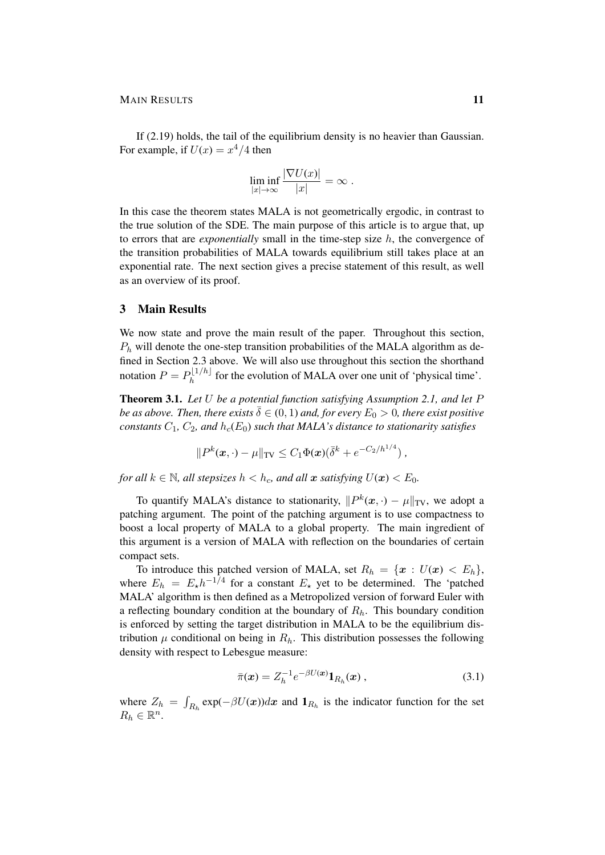If (2.19) holds, the tail of the equilibrium density is no heavier than Gaussian. For example, if  $U(x) = x^4/4$  then

$$
\liminf_{|x|\to\infty}\frac{|\nabla U(x)|}{|x|}=\infty.
$$

In this case the theorem states MALA is not geometrically ergodic, in contrast to the true solution of the SDE. The main purpose of this article is to argue that, up to errors that are *exponentially* small in the time-step size h, the convergence of the transition probabilities of MALA towards equilibrium still takes place at an exponential rate. The next section gives a precise statement of this result, as well as an overview of its proof.

# 3 Main Results

We now state and prove the main result of the paper. Throughout this section,  $P_h$  will denote the one-step transition probabilities of the MALA algorithm as defined in Section 2.3 above. We will also use throughout this section the shorthand notation  $P = P_h^{\lfloor 1/h \rfloor}$  $h^{[1/n]}$  for the evolution of MALA over one unit of 'physical time'.

Theorem 3.1. *Let* U *be a potential function satisfying Assumption 2.1, and let* P *be as above. Then, there exists*  $\overline{\delta} \in (0, 1)$  *and, for every*  $E_0 > 0$ *, there exist positive constants*  $C_1$ ,  $C_2$ , and  $h_c(E_0)$  *such that MALA's distance to stationarity satisfies* 

$$
||P^k(\bm{x},\cdot)-\mu||_{\text{TV}} \leq C_1 \Phi(\bm{x}) (\bar{\delta}^k + e^{-C_2/h^{1/4}}),
$$

*for all*  $k \in \mathbb{N}$ *, all stepsizes*  $h < h_c$ *, and all* x *satisfying*  $U(x) < E_0$ *.* 

To quantify MALA's distance to stationarity,  $||P^k(x, \cdot) - \mu||_{TV}$ , we adopt a patching argument. The point of the patching argument is to use compactness to boost a local property of MALA to a global property. The main ingredient of this argument is a version of MALA with reflection on the boundaries of certain compact sets.

To introduce this patched version of MALA, set  $R_h = \{x : U(x) < E_h\}$ , where  $E_h = E_{\star} h^{-1/4}$  for a constant  $E_{\star}$  yet to be determined. The 'patched MALA' algorithm is then defined as a Metropolized version of forward Euler with a reflecting boundary condition at the boundary of  $R_h$ . This boundary condition is enforced by setting the target distribution in MALA to be the equilibrium distribution  $\mu$  conditional on being in  $R_h$ . This distribution possesses the following density with respect to Lebesgue measure:

$$
\bar{\pi}(\bm{x}) = Z_h^{-1} e^{-\beta U(\bm{x})} \mathbf{1}_{R_h}(\bm{x}) , \qquad (3.1)
$$

where  $Z_h = \int_{R_h} \exp(-\beta U(x))dx$  and  $\mathbf{1}_{R_h}$  is the indicator function for the set  $R_h \in \mathbb{R}^n$ .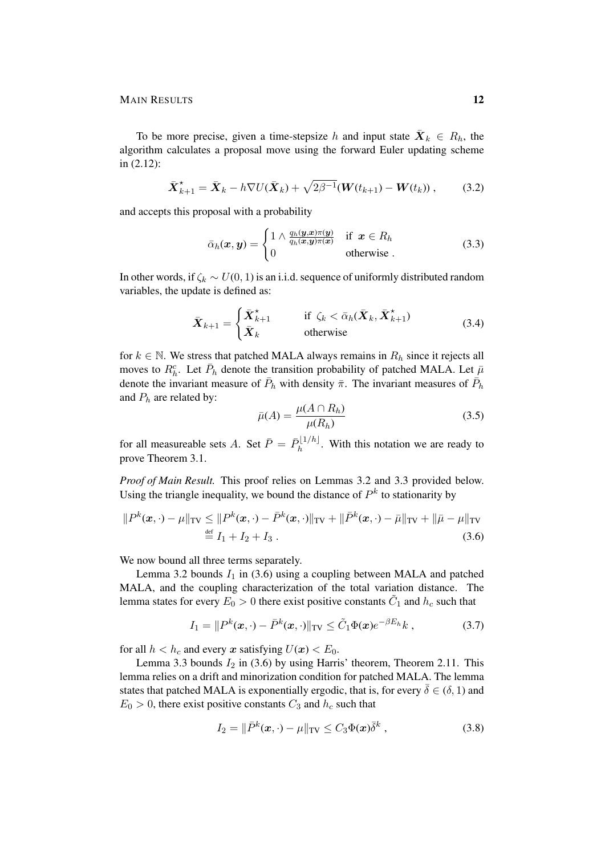MAIN RESULTS 12

To be more precise, given a time-stepsize h and input state  $\bar{\boldsymbol{X}}_k \in R_h$ , the algorithm calculates a proposal move using the forward Euler updating scheme in (2.12):

$$
\bar{\boldsymbol{X}}_{k+1}^{\star} = \bar{\boldsymbol{X}}_k - h \nabla U(\bar{\boldsymbol{X}}_k) + \sqrt{2\beta^{-1}} (\boldsymbol{W}(t_{k+1}) - \boldsymbol{W}(t_k)), \qquad (3.2)
$$

and accepts this proposal with a probability

$$
\bar{\alpha}_h(\boldsymbol{x}, \boldsymbol{y}) = \begin{cases} 1 \wedge \frac{q_h(\boldsymbol{y}, \boldsymbol{x})\pi(\boldsymbol{y})}{q_h(\boldsymbol{x}, \boldsymbol{y})\pi(\boldsymbol{x})} & \text{if } \boldsymbol{x} \in R_h \\ 0 & \text{otherwise.} \end{cases}
$$
(3.3)

In other words, if  $\zeta_k \sim U(0, 1)$  is an i.i.d. sequence of uniformly distributed random variables, the update is defined as:

$$
\bar{\boldsymbol{X}}_{k+1} = \begin{cases} \bar{\boldsymbol{X}}_{k+1}^{\star} & \text{if } \zeta_k < \bar{\alpha}_h(\bar{\boldsymbol{X}}_k, \bar{\boldsymbol{X}}_{k+1}^{\star}) \\ \bar{\boldsymbol{X}}_k & \text{otherwise} \end{cases} \tag{3.4}
$$

for  $k \in \mathbb{N}$ . We stress that patched MALA always remains in  $R_h$  since it rejects all moves to  $R_h^c$ . Let  $\bar{P}_h$  denote the transition probability of patched MALA. Let  $\bar{\mu}$ denote the invariant measure of  $\bar{P}_h$  with density  $\bar{\pi}$ . The invariant measures of  $\bar{P}_h$ and  $P_h$  are related by:

$$
\bar{\mu}(A) = \frac{\mu(A \cap R_h)}{\mu(R_h)}
$$
\n(3.5)

for all measureable sets A. Set  $\bar{P} = \bar{P}_h^{\lfloor 1/h \rfloor}$  $h^{11/n}$ . With this notation we are ready to prove Theorem 3.1.

*Proof of Main Result.* This proof relies on Lemmas 3.2 and 3.3 provided below. Using the triangle inequality, we bound the distance of  $P^k$  to stationarity by

$$
||P^{k}(\mathbf{x}, \cdot) - \mu||_{TV} \le ||P^{k}(\mathbf{x}, \cdot) - \bar{P}^{k}(\mathbf{x}, \cdot)||_{TV} + ||\bar{P}^{k}(\mathbf{x}, \cdot) - \bar{\mu}||_{TV} + ||\bar{\mu} - \mu||_{TV}
$$
  
\n
$$
\stackrel{\text{def}}{=} I_{1} + I_{2} + I_{3} .
$$
\n(3.6)

We now bound all three terms separately.

Lemma 3.2 bounds  $I_1$  in (3.6) using a coupling between MALA and patched MALA, and the coupling characterization of the total variation distance. The lemma states for every  $E_0 > 0$  there exist positive constants  $\tilde{C}_1$  and  $h_c$  such that

$$
I_1 = ||P^k(\boldsymbol{x},\cdot) - \bar{P}^k(\boldsymbol{x},\cdot)||_{\text{TV}} \leq \tilde{C}_1 \Phi(\boldsymbol{x}) e^{-\beta E_h} k , \qquad (3.7)
$$

for all  $h < h_c$  and every x satisfying  $U(x) < E_0$ .

Lemma 3.3 bounds  $I_2$  in (3.6) by using Harris' theorem, Theorem 2.11. This lemma relies on a drift and minorization condition for patched MALA. The lemma states that patched MALA is exponentially ergodic, that is, for every  $\bar{\delta} \in (\delta, 1)$  and  $E_0 > 0$ , there exist positive constants  $C_3$  and  $h_c$  such that

$$
I_2 = \|\bar{P}^k(\boldsymbol{x}, \cdot) - \mu\|_{\text{TV}} \le C_3 \Phi(\boldsymbol{x}) \bar{\delta}^k ,\qquad(3.8)
$$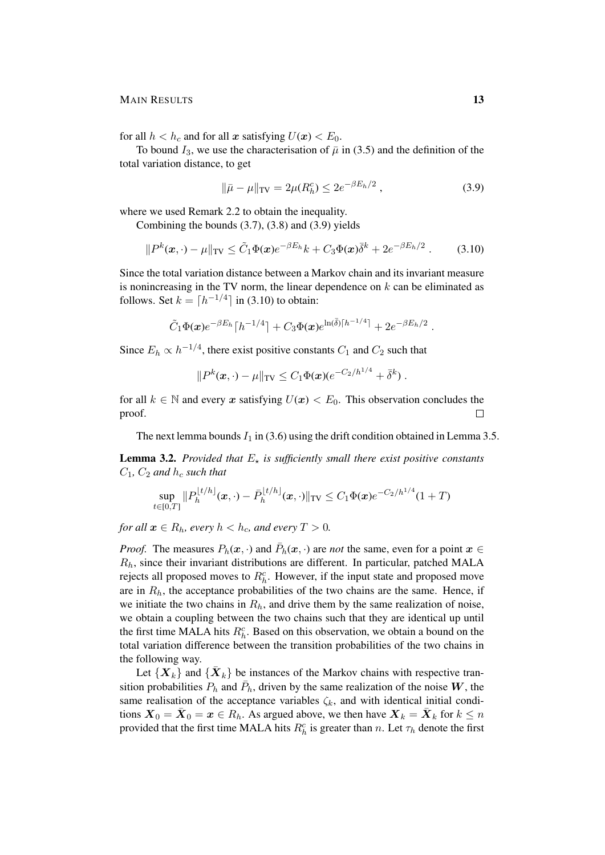for all  $h < h_c$  and for all x satisfying  $U(x) < E_0$ .

To bound  $I_3$ , we use the characterisation of  $\bar{\mu}$  in (3.5) and the definition of the total variation distance, to get

$$
\|\bar{\mu} - \mu\|_{TV} = 2\mu(R_h^c) \le 2e^{-\beta E_h/2},\tag{3.9}
$$

where we used Remark 2.2 to obtain the inequality.

Combining the bounds (3.7), (3.8) and (3.9) yields

$$
||P^k(\boldsymbol{x},\cdot)-\mu||_{\text{TV}} \leq \tilde{C}_1 \Phi(\boldsymbol{x}) e^{-\beta E_h} k + C_3 \Phi(\boldsymbol{x}) \bar{\delta}^k + 2e^{-\beta E_h/2} . \tag{3.10}
$$

Since the total variation distance between a Markov chain and its invariant measure is nonincreasing in the TV norm, the linear dependence on  $k$  can be eliminated as follows. Set  $k = \lfloor h^{-1/4} \rfloor$  in (3.10) to obtain:

$$
\tilde{C}_1 \Phi(\mathbf{x}) e^{-\beta E_h} \left[ h^{-1/4} \right] + C_3 \Phi(\mathbf{x}) e^{\ln(\bar{\delta}) \left[ h^{-1/4} \right]} + 2 e^{-\beta E_h/2}.
$$

Since  $E_h \propto h^{-1/4}$ , there exist positive constants  $C_1$  and  $C_2$  such that

$$
||P^k(\mathbf{x},\cdot)-\mu||_{\text{TV}} \leq C_1 \Phi(\mathbf{x}) (e^{-C_2/h^{1/4}} + \bar{\delta}^k) .
$$

for all  $k \in \mathbb{N}$  and every x satisfying  $U(x) < E_0$ . This observation concludes the proof.  $\Box$ 

The next lemma bounds  $I_1$  in (3.6) using the drift condition obtained in Lemma 3.5.

**Lemma 3.2.** *Provided that*  $E<sub>*x*</sub>$  *is sufficiently small there exist positive constants*  $C_1$ ,  $C_2$  *and*  $h_c$  *such that* 

$$
\sup_{t\in[0,T]}\|P_h^{\lfloor t/h\rfloor}(x,\cdot)-\bar P_h^{\lfloor t/h\rfloor}(x,\cdot)\|_{\mathrm{TV}}\leq C_1\Phi(x)e^{-C_2/h^{1/4}}(1+T)
$$

*for all*  $x \in R_h$ *, every*  $h < h_c$ *, and every*  $T > 0$ *.* 

*Proof.* The measures  $P_h(x, \cdot)$  and  $\overline{P}_h(x, \cdot)$  are *not* the same, even for a point  $x \in$  $R<sub>h</sub>$ , since their invariant distributions are different. In particular, patched MALA rejects all proposed moves to  $R_h^c$ . However, if the input state and proposed move are in  $R<sub>h</sub>$ , the acceptance probabilities of the two chains are the same. Hence, if we initiate the two chains in  $R<sub>h</sub>$ , and drive them by the same realization of noise, we obtain a coupling between the two chains such that they are identical up until the first time MALA hits  $R_h^c$ . Based on this observation, we obtain a bound on the total variation difference between the transition probabilities of the two chains in the following way.

Let  $\{X_k\}$  and  $\{\bar{X}_k\}$  be instances of the Markov chains with respective transition probabilities  $P_h$  and  $\bar{P}_h$ , driven by the same realization of the noise W, the same realisation of the acceptance variables  $\zeta_k$ , and with identical initial conditions  $\mathbf{X}_0 = \bar{\mathbf{X}}_0 = \mathbf{x} \in R_h$ . As argued above, we then have  $\mathbf{X}_k = \bar{\mathbf{X}}_k$  for  $k \leq n$ provided that the first time MALA hits  $R_h^c$  is greater than n. Let  $\tau_h$  denote the first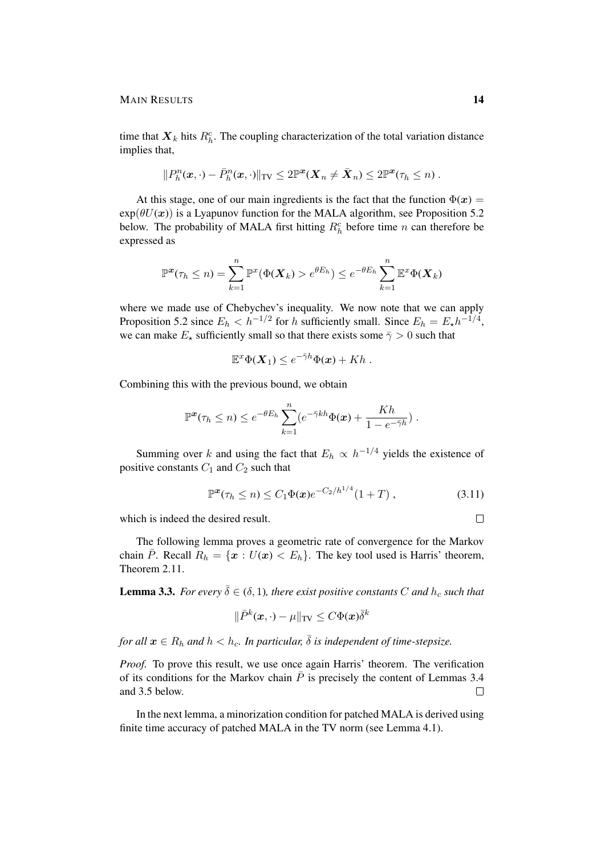time that  $\mathbf{X}_k$  hits  $R_h^c$ . The coupling characterization of the total variation distance implies that,

$$
||P_h^n(\boldsymbol{x},\cdot)-\bar{P}_h^n(\boldsymbol{x},\cdot)||_{\text{TV}} \leq 2\mathbb{P}^{\boldsymbol{x}}(\boldsymbol{X}_n\neq \bar{\boldsymbol{X}}_n) \leq 2\mathbb{P}^{\boldsymbol{x}}(\tau_h\leq n).
$$

At this stage, one of our main ingredients is the fact that the function  $\Phi(x)$  =  $\exp(\theta U(\boldsymbol{x}))$  is a Lyapunov function for the MALA algorithm, see Proposition 5.2 below. The probability of MALA first hitting  $R_h^c$  before time n can therefore be expressed as

$$
\mathbb{P}^{\mathbf{x}}(\tau_h \leq n) = \sum_{k=1}^n \mathbb{P}^{\mathbf{x}}(\Phi(\mathbf{X}_k) > e^{\theta E_h}) \leq e^{-\theta E_h} \sum_{k=1}^n \mathbb{E}^{\mathbf{x}}\Phi(\mathbf{X}_k)
$$

where we made use of Chebychev's inequality. We now note that we can apply Proposition 5.2 since  $E_h < h^{-1/2}$  for h sufficiently small. Since  $E_h = E_{\star} h^{-1/4}$ , we can make  $E_{\star}$  sufficiently small so that there exists some  $\bar{\gamma} > 0$  such that

$$
\mathbb{E}^x \Phi(\mathbf{X}_1) \leq e^{-\bar{\gamma}h} \Phi(\mathbf{x}) + Kh.
$$

Combining this with the previous bound, we obtain

$$
\mathbb{P}^{\mathbf{x}}(\tau_h \leq n) \leq e^{-\theta E_h} \sum_{k=1}^n (e^{-\bar{\gamma}kh} \Phi(\mathbf{x}) + \frac{Kh}{1 - e^{-\bar{\gamma}h}}) .
$$

Summing over k and using the fact that  $E_h \propto h^{-1/4}$  yields the existence of positive constants  $C_1$  and  $C_2$  such that

$$
\mathbb{P}^{\mathbf{x}}(\tau_h \le n) \le C_1 \Phi(\mathbf{x}) e^{-C_2/h^{1/4}} (1+T) , \qquad (3.11)
$$

−C2/h1/<sup>4</sup>

which is indeed the desired result.

The following lemma proves a geometric rate of convergence for the Markov chain  $\overline{P}$ . Recall  $R_h = \{x : U(x) < E_h\}$ . The key tool used is Harris' theorem, Theorem 2.11.

**Lemma 3.3.** *For every*  $\bar{\delta} \in (\delta, 1)$ *, there exist positive constants* C *and*  $h_c$  *such that* 

$$
\|\bar{P}^k(\boldsymbol{x},\cdot)-\mu\|_{\text{TV}} \leq C \Phi(\boldsymbol{x}) \bar{\delta}^k
$$

*for all*  $x \in R_h$  *and*  $h < h_c$ *. In particular,*  $\overline{\delta}$  *is independent of time-stepsize.* 

*Proof.* To prove this result, we use once again Harris' theorem. The verification of its conditions for the Markov chain  $\overline{P}$  is precisely the content of Lemmas 3.4 and 3.5 below.  $\Box$ 

In the next lemma, a minorization condition for patched MALA is derived using finite time accuracy of patched MALA in the TV norm (see Lemma 4.1).

 $\Box$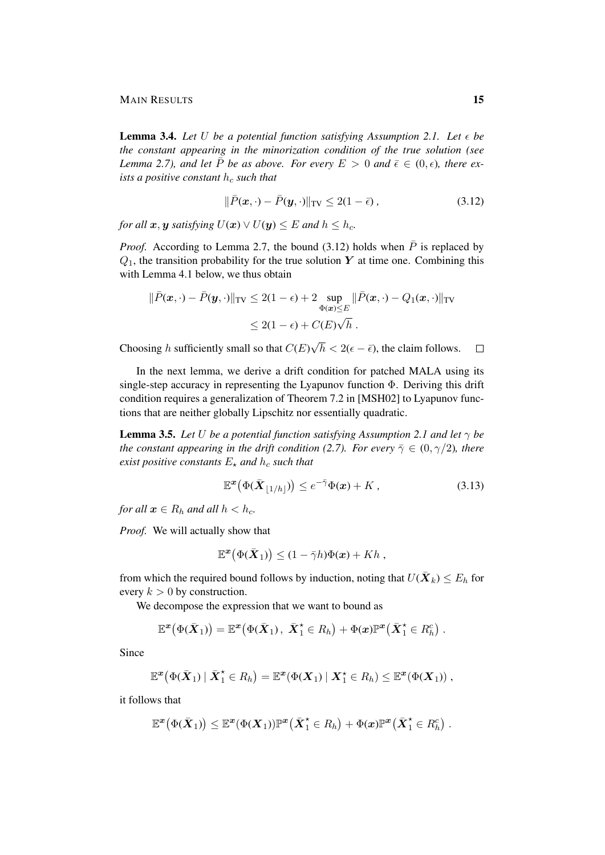**Lemma 3.4.** Let U be a potential function satisfying Assumption 2.1. Let  $\epsilon$  be *the constant appearing in the minorization condition of the true solution (see Lemma 2.7), and let*  $\overline{P}$  *be as above. For every*  $E > 0$  *and*  $\overline{\epsilon} \in (0, \epsilon)$ *, there exists a positive constant*  $h_c$  *such that* 

$$
\|\bar{P}(\boldsymbol{x},\cdot)-\bar{P}(\boldsymbol{y},\cdot)\|_{\text{TV}} \leq 2(1-\bar{\epsilon}),\tag{3.12}
$$

*for all*  $x, y$  *satisfying*  $U(x) \vee U(y) \leq E$  *and*  $h \leq h_c$ *.* 

*Proof.* According to Lemma 2.7, the bound (3.12) holds when  $\overline{P}$  is replaced by  $Q_1$ , the transition probability for the true solution Y at time one. Combining this with Lemma 4.1 below, we thus obtain

$$
\|\bar{P}(\boldsymbol{x},\cdot)-\bar{P}(\boldsymbol{y},\cdot)\|_{\text{TV}} \leq 2(1-\epsilon) + 2 \sup_{\Phi(\boldsymbol{x}) \leq E} \|\bar{P}(\boldsymbol{x},\cdot)-Q_1(\boldsymbol{x},\cdot)\|_{\text{TV}}
$$
  

$$
\leq 2(1-\epsilon) + C(E)\sqrt{h}.
$$

√ Choosing h sufficiently small so that  $C(E)$  $h < 2(\epsilon - \bar{\epsilon})$ , the claim follows.  $\Box$ 

In the next lemma, we derive a drift condition for patched MALA using its single-step accuracy in representing the Lyapunov function  $\Phi$ . Deriving this drift condition requires a generalization of Theorem 7.2 in [MSH02] to Lyapunov functions that are neither globally Lipschitz nor essentially quadratic.

**Lemma 3.5.** *Let* U *be a potential function satisfying Assumption 2.1 and let*  $\gamma$  *be the constant appearing in the drift condition (2.7). For every*  $\bar{\gamma} \in (0, \gamma/2)$ *, there exist positive constants*  $E_{\star}$  *and*  $h_c$  *such that* 

$$
\mathbb{E}^{\mathbf{x}}(\Phi(\bar{\mathbf{X}}_{\lfloor 1/h\rfloor})) \leq e^{-\bar{\gamma}}\Phi(\mathbf{x}) + K , \qquad (3.13)
$$

*for all*  $x \in R_h$  *and all*  $h < h_c$ *.* 

*Proof.* We will actually show that

$$
\mathbb{E}^{\boldsymbol{x}}(\Phi(\bar{\boldsymbol{X}}_1)) \leq (1 - \bar{\gamma}h)\Phi(\boldsymbol{x}) + Kh,
$$

from which the required bound follows by induction, noting that  $U(\bar{\boldsymbol{X}}_k) \leq E_h$  for every  $k > 0$  by construction.

We decompose the expression that we want to bound as

$$
\mathbb{E}^{\boldsymbol{x}}(\Phi(\bar{\boldsymbol{X}}_1)) = \mathbb{E}^{\boldsymbol{x}}(\Phi(\bar{\boldsymbol{X}}_1), \ \bar{\boldsymbol{X}}_1^{\star} \in R_h) + \Phi(\boldsymbol{x}) \mathbb{P}^{\boldsymbol{x}}(\bar{\boldsymbol{X}}_1^{\star} \in R_h^c) \ .
$$

Since

$$
\mathbb{E}^{\boldsymbol{x}}(\Phi(\bar{\boldsymbol{X}}_1)\mid \bar{\boldsymbol{X}}_1^{\star} \in R_h) = \mathbb{E}^{\boldsymbol{x}}(\Phi(\boldsymbol{X}_1)\mid \boldsymbol{X}_1^{\star} \in R_h) \leq \mathbb{E}^{\boldsymbol{x}}(\Phi(\boldsymbol{X}_1)) ,
$$

it follows that

$$
\mathbb{E}^{\boldsymbol{x}}(\Phi(\bar{\boldsymbol{X}}_1)) \leq \mathbb{E}^{\boldsymbol{x}}(\Phi(\boldsymbol{X}_1))\mathbb{P}^{\boldsymbol{x}}(\bar{\boldsymbol{X}}_1^{\star} \in R_h) + \Phi(\boldsymbol{x})\mathbb{P}^{\boldsymbol{x}}(\bar{\boldsymbol{X}}_1^{\star} \in R_h^c).
$$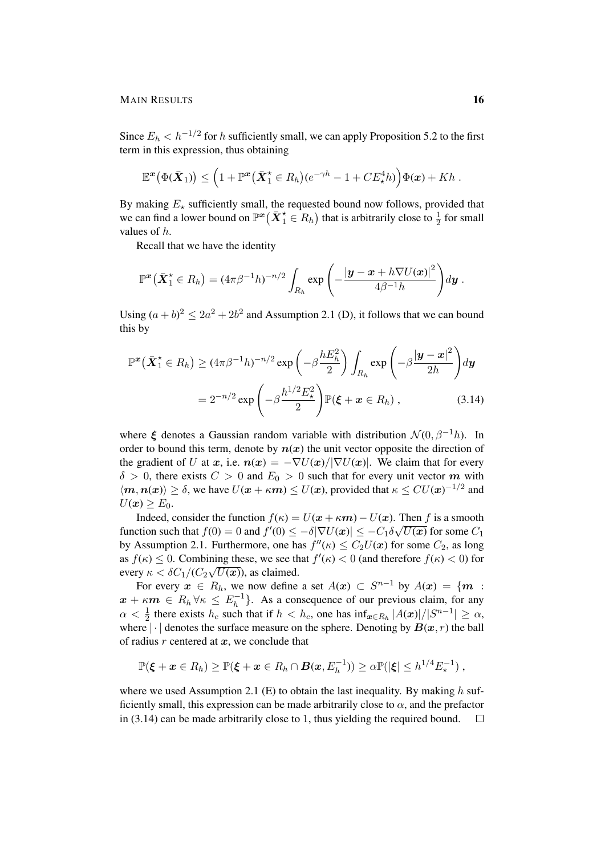Since  $E_h < h^{-1/2}$  for h sufficiently small, we can apply Proposition 5.2 to the first term in this expression, thus obtaining

$$
\mathbb{E}^{\boldsymbol{x}}(\Phi(\bar{\boldsymbol{X}}_1)) \leq \left(1 + \mathbb{P}^{\boldsymbol{x}}(\bar{\boldsymbol{X}}_1^* \in R_h)(e^{-\gamma h} - 1 + CE^4_{\star}h)\right)\Phi(\boldsymbol{x}) + Kh.
$$

By making  $E_{\star}$  sufficiently small, the requested bound now follows, provided that we can find a lower bound on  $\mathbb{P}^x(\bar{X}_1^* \in R_h)$  that is arbitrarily close to  $\frac{1}{2}$  for small values of h.

Recall that we have the identity

$$
\mathbb{P}^{\boldsymbol{x}}\big(\bar{\boldsymbol{X}}_1^{\star}\in R_h\big)=(4\pi\beta^{-1}h)^{-n/2}\int_{R_h}\exp\left(-\frac{|\boldsymbol{y}-\boldsymbol{x}+h\nabla U(\boldsymbol{x})|^2}{4\beta^{-1}h}\right)d\boldsymbol{y}.
$$

Using  $(a + b)^2 \le 2a^2 + 2b^2$  and Assumption 2.1 (D), it follows that we can bound this by

$$
\mathbb{P}^{\boldsymbol{x}}\big(\bar{\boldsymbol{X}}_1^{\star} \in R_h\big) \geq (4\pi\beta^{-1}h)^{-n/2} \exp\left(-\beta \frac{h E_h^2}{2}\right) \int_{R_h} \exp\left(-\beta \frac{|\boldsymbol{y} - \boldsymbol{x}|^2}{2h}\right) d\boldsymbol{y}
$$

$$
= 2^{-n/2} \exp\left(-\beta \frac{h^{1/2} E_{\star}^2}{2}\right) \mathbb{P}(\boldsymbol{\xi} + \boldsymbol{x} \in R_h), \tag{3.14}
$$

where  $\xi$  denotes a Gaussian random variable with distribution  $\mathcal{N}(0, \beta^{-1}h)$ . In order to bound this term, denote by  $n(x)$  the unit vector opposite the direction of the gradient of U at x, i.e.  $n(x) = -\nabla U(x)/|\nabla U(x)|$ . We claim that for every  $\delta > 0$ , there exists  $C > 0$  and  $E_0 > 0$  such that for every unit vector m with  $\langle m, n(x) \rangle \ge \delta$ , we have  $U(x + \kappa m) \le U(x)$ , provided that  $\kappa \le CU(x)^{-1/2}$  and  $U(\boldsymbol{x}) \geq E_0$ .

Indeed, consider the function  $f(\kappa) = U(x + \kappa m) - U(x)$ . Then f is a smooth function such that  $f(0) = 0$  and  $f'(0) \le -\delta |\nabla U(\boldsymbol{x})| \le -C_1 \delta$ √  $\overline{U(\boldsymbol{x})}$  for some  $C_1$ by Assumption 2.1. Furthermore, one has  $f''(\kappa) \leq C_2 U(\boldsymbol{x})$  for some  $C_2$ , as long as  $f(\kappa) \le 0$ . Combining these, we see that  $f'(\kappa) < 0$  (and therefore  $f(\kappa) < 0$ ) for every  $\kappa < \delta C_1 / (C_2 \sqrt{U(x)})$ , as claimed.

For every  $x \in R_h$ , we now define a set  $A(x) \subset S^{n-1}$  by  $A(x) = \{m :$  $\boldsymbol{x} + \kappa \boldsymbol{m} \, \in \, R_h \, \forall \kappa \, \leq \, E_h^{-1}$  $\binom{n-1}{h}$ . As a consequence of our previous claim, for any  $\alpha < \frac{1}{2}$  there exists  $h_c$  such that if  $h < h_c$ , one has  $\inf_{\bm{x} \in R_h} |A(\bm{x})|/|S^{n-1}| \ge \alpha$ , where  $|\cdot|$  denotes the surface measure on the sphere. Denoting by  $B(x, r)$  the ball of radius  $r$  centered at  $x$ , we conclude that

$$
\mathbb{P}(\boldsymbol{\xi} + \boldsymbol{x} \in R_h) \geq \mathbb{P}(\boldsymbol{\xi} + \boldsymbol{x} \in R_h \cap \boldsymbol{B}(\boldsymbol{x}, E_h^{-1})) \geq \alpha \mathbb{P}(|\boldsymbol{\xi}| \leq h^{1/4} E_{\star}^{-1}),
$$

where we used Assumption 2.1 (E) to obtain the last inequality. By making  $h$  sufficiently small, this expression can be made arbitrarily close to  $\alpha$ , and the prefactor in (3.14) can be made arbitrarily close to 1, thus yielding the required bound. $\Box$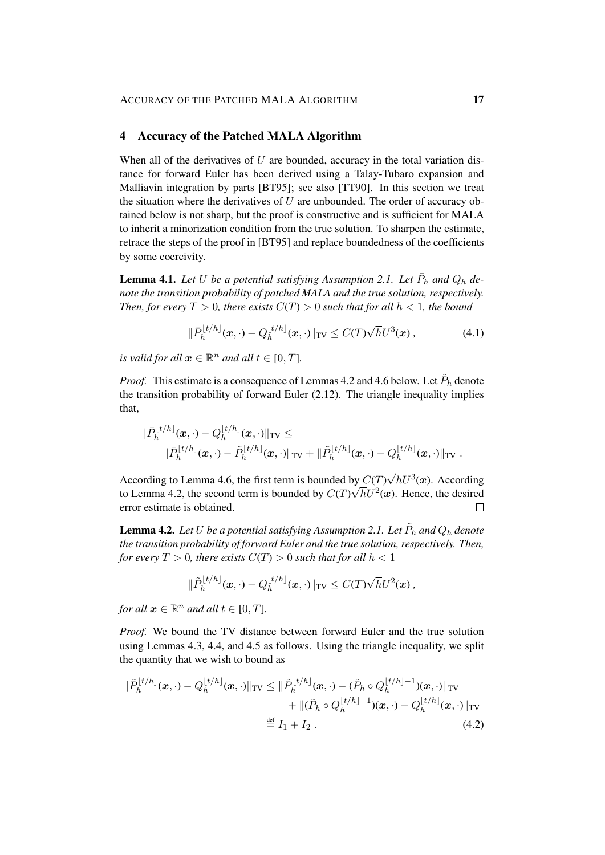## 4 Accuracy of the Patched MALA Algorithm

When all of the derivatives of  $U$  are bounded, accuracy in the total variation distance for forward Euler has been derived using a Talay-Tubaro expansion and Malliavin integration by parts [BT95]; see also [TT90]. In this section we treat the situation where the derivatives of  $U$  are unbounded. The order of accuracy obtained below is not sharp, but the proof is constructive and is sufficient for MALA to inherit a minorization condition from the true solution. To sharpen the estimate, retrace the steps of the proof in [BT95] and replace boundedness of the coefficients by some coercivity.

**Lemma 4.1.** Let U be a potential satisfying Assumption 2.1. Let  $\bar{P}_h$  and  $Q_h$  de*note the transition probability of patched MALA and the true solution, respectively. Then, for every*  $T > 0$ *, there exists*  $C(T) > 0$  *such that for all*  $h < 1$ *, the bound* 

$$
\|\bar{P}_h^{[t/h]}(x,\cdot) - Q_h^{[t/h]}(x,\cdot)\|_{\text{TV}} \le C(T)\sqrt{h}U^3(x),\tag{4.1}
$$

*is valid for all*  $x \in \mathbb{R}^n$  *and all*  $t \in [0, T]$ *.* 

*Proof.* This estimate is a consequence of Lemmas 4.2 and 4.6 below. Let  $\tilde{P}_h$  denote the transition probability of forward Euler (2.12). The triangle inequality implies that,

$$
\|\bar{P}_h^{[t/h]}(\boldsymbol{x},\cdot)-Q_h^{[t/h]}(\boldsymbol{x},\cdot)\|_{\text{TV}} \leq \\ \|\bar{P}_h^{[t/h]}(\boldsymbol{x},\cdot)-\tilde{P}_h^{[t/h]}(\boldsymbol{x},\cdot)\|_{\text{TV}} + \|\tilde{P}_h^{[t/h]}(\boldsymbol{x},\cdot)-Q_h^{[t/h]}(\boldsymbol{x},\cdot)\|_{\text{TV}}.
$$

by  $C(T)\sqrt{h}U^3(x)$ . According According to Lemma 4.6, the first term is bounded by  $C(T)$ to Lemma 4.2, the second term is bounded by  $C(T)\sqrt{h}U^2(x)$ . Hence, the desired error estimate is obtained.  $\Box$ 

**Lemma 4.2.** Let  $U$  be a potential satisfying Assumption 2.1. Let  $\tilde{P}_h$  and  $Q_h$  denote *the transition probability of forward Euler and the true solution, respectively. Then, for every*  $T > 0$ *, there exists*  $C(T) > 0$  *such that for all*  $h < 1$ 

$$
\|\tilde{P}_h^{\lfloor t/h\rfloor}(\boldsymbol{x},\cdot)-Q_h^{\lfloor t/h\rfloor}(\boldsymbol{x},\cdot)\|_{\mathrm{TV}}\leq C(T)\sqrt{h}U^2(\boldsymbol{x}),
$$

*for all*  $x \in \mathbb{R}^n$  *and all*  $t \in [0, T]$ *.* 

*Proof.* We bound the TV distance between forward Euler and the true solution using Lemmas 4.3, 4.4, and 4.5 as follows. Using the triangle inequality, we split the quantity that we wish to bound as

$$
\|\tilde{P}_h^{[t/h]}(\boldsymbol{x}, \cdot) - Q_h^{[t/h]}(\boldsymbol{x}, \cdot)\|_{\text{TV}} \le \|\tilde{P}_h^{[t/h]}(\boldsymbol{x}, \cdot) - (\tilde{P}_h \circ Q_h^{[t/h]-1})(\boldsymbol{x}, \cdot)\|_{\text{TV}} + \|(\tilde{P}_h \circ Q_h^{[t/h]-1})(\boldsymbol{x}, \cdot) - Q_h^{[t/h]}(\boldsymbol{x}, \cdot)\|_{\text{TV}} + \|(\tilde{P}_h \circ Q_h^{[t/h]-1})(\boldsymbol{x}, \cdot) - Q_h^{[t/h]}(\boldsymbol{x}, \cdot)\|_{\text{TV}} \le \mathbb{1}_1 + I_2. \tag{4.2}
$$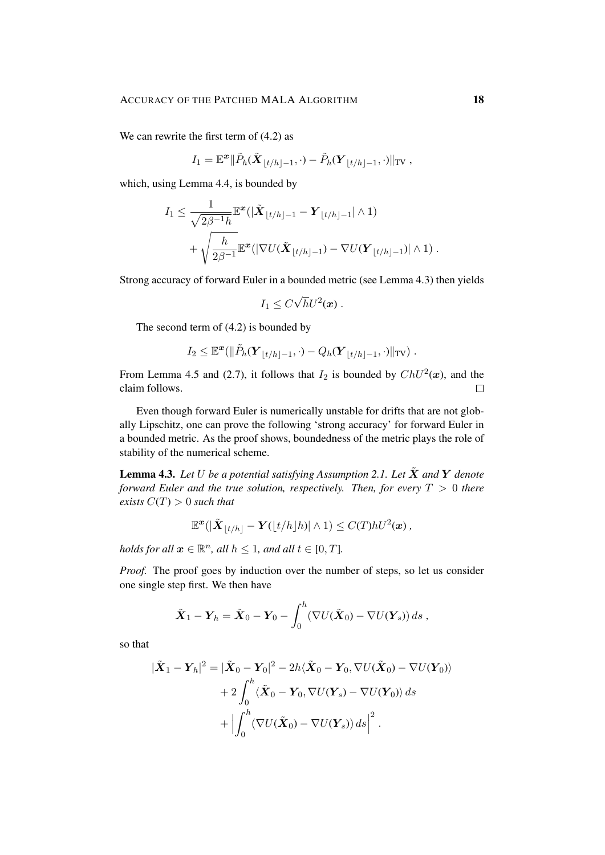We can rewrite the first term of  $(4.2)$  as

$$
I_1 = \mathbb{E}^{\boldsymbol{x}} \|\tilde{P}_h(\tilde{\boldsymbol{X}}_{\lfloor t/h \rfloor - 1}, \cdot) - \tilde{P}_h(\boldsymbol{Y}_{\lfloor t/h \rfloor - 1}, \cdot)\|_{\text{TV}},
$$

which, using Lemma 4.4, is bounded by

$$
I_1 \leq \frac{1}{\sqrt{2\beta^{-1}h}} \mathbb{E}^{\mathbf{x}}(|\tilde{\mathbf{X}}_{\lfloor t/h \rfloor - 1} - \mathbf{Y}_{\lfloor t/h \rfloor - 1}| \wedge 1) + \sqrt{\frac{h}{2\beta^{-1}} \mathbb{E}^{\mathbf{x}}(|\nabla U(\tilde{\mathbf{X}}_{\lfloor t/h \rfloor - 1}) - \nabla U(\mathbf{Y}_{\lfloor t/h \rfloor - 1})| \wedge 1)}.
$$

Strong accuracy of forward Euler in a bounded metric (see Lemma 4.3) then yields

$$
I_1 \leq C \sqrt{h} U^2(\boldsymbol{x}) \ .
$$

The second term of (4.2) is bounded by

$$
I_2 \leq \mathbb{E}^{\boldsymbol{x}}(\|\tilde{P}_h(\boldsymbol{Y}_{\lfloor t/h\rfloor-1},\cdot)-Q_h(\boldsymbol{Y}_{\lfloor t/h\rfloor-1},\cdot)\|_{\mathrm{TV}})\ .
$$

From Lemma 4.5 and (2.7), it follows that  $I_2$  is bounded by  $ChU^2(\boldsymbol{x})$ , and the claim follows.  $\Box$ 

Even though forward Euler is numerically unstable for drifts that are not globally Lipschitz, one can prove the following 'strong accuracy' for forward Euler in a bounded metric. As the proof shows, boundedness of the metric plays the role of stability of the numerical scheme.

**Lemma 4.3.** Let U be a potential satisfying Assumption 2.1. Let  $\tilde{\mathbf{X}}$  and  $\mathbf{Y}$  denote *forward Euler and the true solution, respectively. Then, for every*  $T > 0$  *there exists*  $C(T) > 0$  *such that* 

$$
\mathbb{E}^{\boldsymbol{x}}(|\tilde{\boldsymbol{X}}_{\lfloor t/h \rfloor}-\boldsymbol{Y}(\lfloor t/h \rfloor h)|\wedge 1) \leq C(T)hU^{2}(\boldsymbol{x}),
$$

*holds for all*  $x \in \mathbb{R}^n$ *, all*  $h \leq 1$ *, and all*  $t \in [0, T]$ *.* 

*Proof.* The proof goes by induction over the number of steps, so let us consider one single step first. We then have

$$
\tilde{\boldsymbol{X}}_1 - \boldsymbol{Y}_h = \tilde{\boldsymbol{X}}_0 - \boldsymbol{Y}_0 - \int_0^h (\nabla U(\tilde{\boldsymbol{X}}_0) - \nabla U(\boldsymbol{Y}_s)) ds,
$$

so that

$$
|\tilde{\boldsymbol{X}}_1 - \boldsymbol{Y}_h|^2 = |\tilde{\boldsymbol{X}}_0 - \boldsymbol{Y}_0|^2 - 2h\langle \tilde{\boldsymbol{X}}_0 - \boldsymbol{Y}_0, \nabla U(\tilde{\boldsymbol{X}}_0) - \nabla U(\boldsymbol{Y}_0) \rangle
$$
  
+ 2\int\_0^h \langle \tilde{\boldsymbol{X}}\_0 - \boldsymbol{Y}\_0, \nabla U(\boldsymbol{Y}\_s) - \nabla U(\boldsymbol{Y}\_0) \rangle ds  
+ \left| \int\_0^h (\nabla U(\tilde{\boldsymbol{X}}\_0) - \nabla U(\boldsymbol{Y}\_s)) ds \right|^2.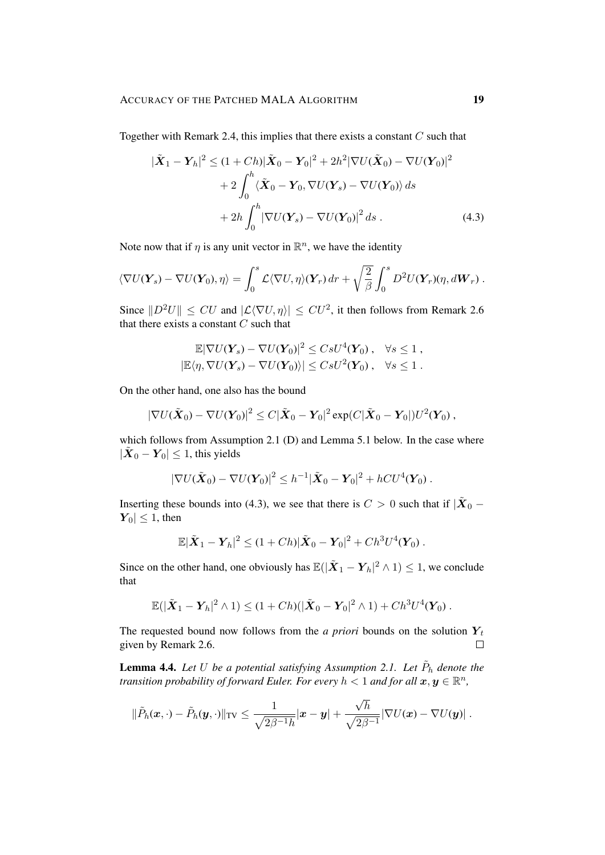Together with Remark 2.4, this implies that there exists a constant  $C$  such that

$$
|\tilde{\mathbf{X}}_1 - \mathbf{Y}_h|^2 \le (1 + Ch)|\tilde{\mathbf{X}}_0 - \mathbf{Y}_0|^2 + 2h^2|\nabla U(\tilde{\mathbf{X}}_0) - \nabla U(\mathbf{Y}_0)|^2
$$
  
+ 
$$
2\int_0^h \langle \tilde{\mathbf{X}}_0 - \mathbf{Y}_0, \nabla U(\mathbf{Y}_s) - \nabla U(\mathbf{Y}_0) \rangle ds
$$
  
+ 
$$
2h \int_0^h |\nabla U(\mathbf{Y}_s) - \nabla U(\mathbf{Y}_0)|^2 ds .
$$
 (4.3)

Note now that if  $\eta$  is any unit vector in  $\mathbb{R}^n$ , we have the identity

$$
\langle \nabla U(\mathbf{Y}_s) - \nabla U(\mathbf{Y}_0), \eta \rangle = \int_0^s \mathcal{L} \langle \nabla U, \eta \rangle(\mathbf{Y}_r) dr + \sqrt{\frac{2}{\beta}} \int_0^s D^2 U(\mathbf{Y}_r)(\eta, d\mathbf{W}_r) .
$$

Since  $||D^2U|| \leq CU$  and  $|\mathcal{L}\langle \nabla U, \eta \rangle| \leq CU^2$ , it then follows from Remark 2.6 that there exists a constant  $C$  such that

$$
\mathbb{E}|\nabla U(\mathbf{Y}_s) - \nabla U(\mathbf{Y}_0)|^2 \leq C s U^4(\mathbf{Y}_0) , \quad \forall s \leq 1 ,
$$
  

$$
|\mathbb{E}\langle \eta, \nabla U(\mathbf{Y}_s) - \nabla U(\mathbf{Y}_0) \rangle| \leq C s U^2(\mathbf{Y}_0) , \quad \forall s \leq 1 .
$$

On the other hand, one also has the bound

$$
|\nabla U(\tilde{\boldsymbol{X}}_0) - \nabla U(\boldsymbol{Y}_0)|^2 \leq C|\tilde{\boldsymbol{X}}_0 - \boldsymbol{Y}_0|^2 \exp(C|\tilde{\boldsymbol{X}}_0 - \boldsymbol{Y}_0|)U^2(\boldsymbol{Y}_0),
$$

which follows from Assumption 2.1 (D) and Lemma 5.1 below. In the case where  $|\tilde{\boldsymbol{X}}_0 - \boldsymbol{Y}_0| \leq 1$ , this yields

$$
|\nabla U(\tilde{\boldsymbol{X}}_0) - \nabla U(\boldsymbol{Y}_0)|^2 \leq h^{-1} |\tilde{\boldsymbol{X}}_0 - \boldsymbol{Y}_0|^2 + hCU^4(\boldsymbol{Y}_0).
$$

Inserting these bounds into (4.3), we see that there is  $C > 0$  such that if  $|\tilde{\boldsymbol{X}}_0 - \boldsymbol{X}_0|$  $|Y_0| \leq 1$ , then

$$
\mathbb{E}|\tilde{\bm{X}}_1-\bm{Y}_h|^2 \leq (1+Ch)|\tilde{\bm{X}}_0-\bm{Y}_0|^2+Ch^3U^4(\bm{Y}_0).
$$

Since on the other hand, one obviously has  $\mathbb{E}(|\tilde{\boldsymbol{X}}_1 - \boldsymbol{Y}_h|^2 \wedge 1) \leq 1$ , we conclude that

$$
\mathbb{E}(|\tilde{\boldsymbol{X}}_1-\boldsymbol{Y}_h|^2\wedge 1)\leq (1+Ch)(|\tilde{\boldsymbol{X}}_0-\boldsymbol{Y}_0|^2\wedge 1)+Ch^3U^4(\boldsymbol{Y}_0).
$$

The requested bound now follows from the *a priori* bounds on the solution  $Y_t$ given by Remark 2.6.  $\Box$ 

**Lemma 4.4.** Let U be a potential satisfying Assumption 2.1. Let  $\tilde{P}_h$  denote the *transition probability of forward Euler. For every*  $h < 1$  *and for all*  $\boldsymbol{x}, \boldsymbol{y} \in \mathbb{R}^n$ *,* 

$$
\|\tilde{P}_h(\boldsymbol{x},\cdot)-\tilde{P}_h(\boldsymbol{y},\cdot)\|_{\text{TV}} \leq \frac{1}{\sqrt{2\beta^{-1}h}}|\boldsymbol{x}-\boldsymbol{y}| + \frac{\sqrt{h}}{\sqrt{2\beta^{-1}}}|\nabla U(\boldsymbol{x})-\nabla U(\boldsymbol{y})|.
$$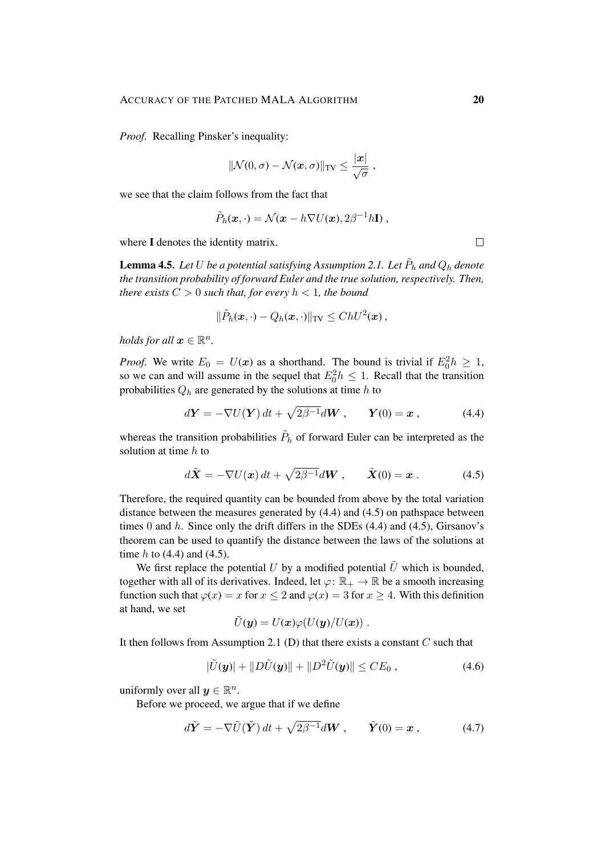*Proof.* Recalling Pinsker's inequality:

$$
\|\mathcal{N}(0,\sigma)-\mathcal{N}(x,\sigma)\|_{\text{TV}} \leq \frac{|x|}{\sqrt{\sigma}}\;,
$$

we see that the claim follows from the fact that

$$
\tilde{P}_h(\boldsymbol{x},\cdot)=\mathcal{N}(\boldsymbol{x}-h\nabla U(\boldsymbol{x}),2\beta^{-1}h\mathbf{I}),
$$

where I denotes the identity matrix.

**Lemma 4.5.** Let  $U$  be a potential satisfying Assumption 2.1. Let  $\tilde{P}_h$  and  $Q_h$  denote *the transition probability of forward Euler and the true solution, respectively. Then, there exists*  $C > 0$  *such that, for every*  $h < 1$ *, the bound* 

$$
\|\tilde{P}_h(\boldsymbol{x},\cdot)-Q_h(\boldsymbol{x},\cdot)\|_{\mathrm{TV}}\leq ChU^2(\boldsymbol{x})\,,
$$

*holds for all*  $x \in \mathbb{R}^n$ *.* 

*Proof.* We write  $E_0 = U(x)$  as a shorthand. The bound is trivial if  $E_0^2 h \ge 1$ , so we can and will assume in the sequel that  $E_0^2 h \leq 1$ . Recall that the transition probabilities  $Q_h$  are generated by the solutions at time h to

$$
d\mathbf{Y} = -\nabla U(\mathbf{Y}) dt + \sqrt{2\beta^{-1}} d\mathbf{W}, \qquad \mathbf{Y}(0) = \mathbf{x}, \tag{4.4}
$$

whereas the transition probabilities  $\tilde{P}_h$  of forward Euler can be interpreted as the solution at time  $h$  to

$$
d\tilde{\mathbf{X}} = -\nabla U(\mathbf{x}) dt + \sqrt{2\beta^{-1}} d\mathbf{W}, \qquad \tilde{\mathbf{X}}(0) = \mathbf{x} . \tag{4.5}
$$

Therefore, the required quantity can be bounded from above by the total variation distance between the measures generated by (4.4) and (4.5) on pathspace between times 0 and  $h$ . Since only the drift differs in the SDEs  $(4.4)$  and  $(4.5)$ , Girsanov's theorem can be used to quantify the distance between the laws of the solutions at time  $h$  to (4.4) and (4.5).

We first replace the potential U by a modified potential  $\hat{U}$  which is bounded, together with all of its derivatives. Indeed, let  $\varphi: \mathbb{R}_+ \to \mathbb{R}$  be a smooth increasing function such that  $\varphi(x) = x$  for  $x \le 2$  and  $\varphi(x) = 3$  for  $x \ge 4$ . With this definition at hand, we set

$$
\tilde{U}(\boldsymbol{y})=U(\boldsymbol{x})\varphi(U(\boldsymbol{y})/U(\boldsymbol{x}))\;.
$$

It then follows from Assumption 2.1 (D) that there exists a constant  $C$  such that

$$
|\tilde{U}(\mathbf{y})| + ||D\tilde{U}(\mathbf{y})|| + ||D^2 \tilde{U}(\mathbf{y})|| \leq CE_0 , \qquad (4.6)
$$

uniformly over all  $y \in \mathbb{R}^n$ .

Before we proceed, we argue that if we define

$$
d\tilde{\boldsymbol{Y}} = -\nabla \tilde{U}(\tilde{\boldsymbol{Y}}) dt + \sqrt{2\beta^{-1}} d\boldsymbol{W}, \qquad \tilde{\boldsymbol{Y}}(0) = \boldsymbol{x} , \qquad (4.7)
$$

 $\Box$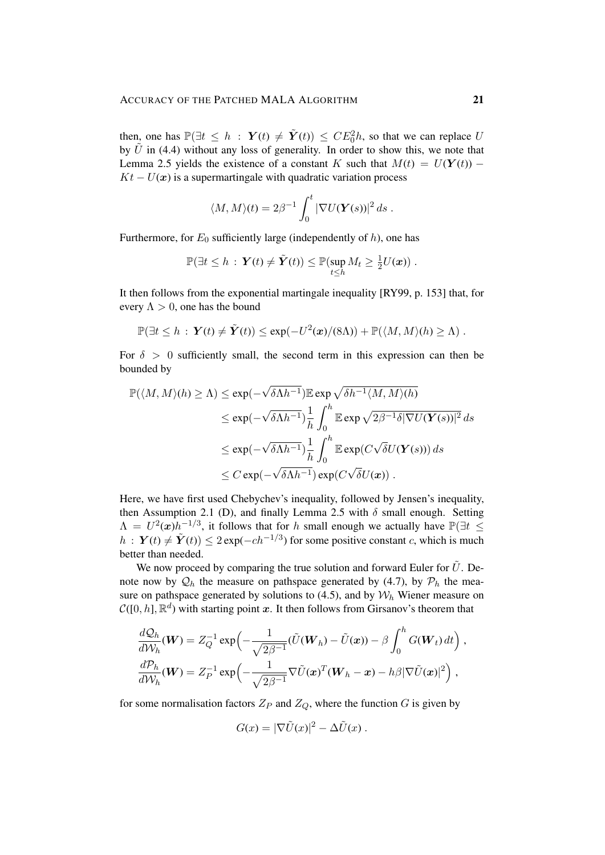then, one has  $\mathbb{P}(\exists t \leq h : \mathbf{Y}(t) \neq \tilde{\mathbf{Y}}(t)) \leq CE_0^2 h$ , so that we can replace U by  $\tilde{U}$  in (4.4) without any loss of generality. In order to show this, we note that Lemma 2.5 yields the existence of a constant K such that  $M(t) = U(Y(t))$  –  $Kt - U(x)$  is a supermartingale with quadratic variation process

$$
\langle M, M \rangle(t) = 2\beta^{-1} \int_0^t |\nabla U(\boldsymbol{Y}(s))|^2 ds.
$$

Furthermore, for  $E_0$  sufficiently large (independently of h), one has

$$
\mathbb{P}(\exists t \leq h : \mathbf{Y}(t) \neq \tilde{\mathbf{Y}}(t)) \leq \mathbb{P}(\sup_{t \leq h} M_t \geq \frac{1}{2}U(\boldsymbol{x})).
$$

It then follows from the exponential martingale inequality [RY99, p. 153] that, for every  $\Lambda > 0$ , one has the bound

$$
\mathbb{P}(\exists t \leq h : \mathbf{Y}(t) \neq \tilde{\mathbf{Y}}(t)) \leq \exp(-U^2(\mathbf{x})/(8\Lambda)) + \mathbb{P}(\langle M, M \rangle(h) \geq \Lambda).
$$

For  $\delta > 0$  sufficiently small, the second term in this expression can then be bounded by

$$
\mathbb{P}(\langle M, M \rangle(h) \ge \Lambda) \le \exp(-\sqrt{\delta \Lambda h^{-1}}) \mathbb{E} \exp \sqrt{\delta h^{-1} \langle M, M \rangle(h)}
$$
  

$$
\le \exp(-\sqrt{\delta \Lambda h^{-1}}) \frac{1}{h} \int_0^h \mathbb{E} \exp \sqrt{2\beta^{-1} \delta |\nabla U(\mathbf{Y}(s))|^2} ds
$$
  

$$
\le \exp(-\sqrt{\delta \Lambda h^{-1}}) \frac{1}{h} \int_0^h \mathbb{E} \exp(C\sqrt{\delta} U(\mathbf{Y}(s))) ds
$$
  

$$
\le C \exp(-\sqrt{\delta \Lambda h^{-1}}) \exp(C\sqrt{\delta} U(\mathbf{x})).
$$

Here, we have first used Chebychev's inequality, followed by Jensen's inequality, then Assumption 2.1 (D), and finally Lemma 2.5 with  $\delta$  small enough. Setting  $\Lambda = U^2(\boldsymbol{x})h^{-1/3}$ , it follows that for h small enough we actually have  $\mathbb{P}(\exists t \leq$  $h: \ Y(t) \neq \tilde{Y}(t) \leq 2 \exp(-c h^{-1/3})$  for some positive constant c, which is much better than needed.

We now proceed by comparing the true solution and forward Euler for  $\tilde{U}$ . Denote now by  $\mathcal{Q}_h$  the measure on pathspace generated by (4.7), by  $\mathcal{P}_h$  the measure on pathspace generated by solutions to (4.5), and by  $W_h$  Wiener measure on  $C([0,h], \mathbb{R}^d)$  with starting point x. It then follows from Girsanov's theorem that

$$
\frac{dQ_h}{dW_h}(\boldsymbol{W}) = Z_Q^{-1} \exp\left(-\frac{1}{\sqrt{2\beta^{-1}}} (\tilde{U}(\boldsymbol{W}_h) - \tilde{U}(\boldsymbol{x})) - \beta \int_0^h G(\boldsymbol{W}_t) dt\right),
$$
  

$$
\frac{dP_h}{dW_h}(\boldsymbol{W}) = Z_P^{-1} \exp\left(-\frac{1}{\sqrt{2\beta^{-1}}} \nabla \tilde{U}(\boldsymbol{x})^T (\boldsymbol{W}_h - \boldsymbol{x}) - h\beta |\nabla \tilde{U}(\boldsymbol{x})|^2\right),
$$

for some normalisation factors  $Z_P$  and  $Z_Q$ , where the function G is given by

$$
G(x) = |\nabla \tilde{U}(x)|^2 - \Delta \tilde{U}(x) .
$$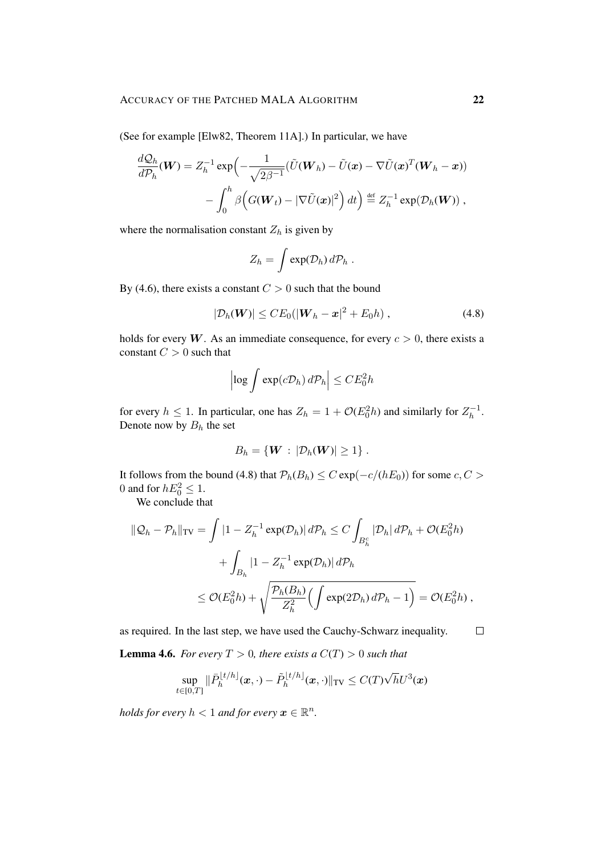(See for example [Elw82, Theorem 11A].) In particular, we have

$$
\frac{dQ_h}{d\mathcal{P}_h}(\boldsymbol{W}) = Z_h^{-1} \exp\left(-\frac{1}{\sqrt{2\beta^{-1}}} (\tilde{U}(\boldsymbol{W}_h) - \tilde{U}(\boldsymbol{x}) - \nabla \tilde{U}(\boldsymbol{x})^T (\boldsymbol{W}_h - \boldsymbol{x})) - \int_0^h \beta \Big(G(\boldsymbol{W}_t) - |\nabla \tilde{U}(\boldsymbol{x})|^2\Big) dt\right) \stackrel{\text{def}}{=} Z_h^{-1} \exp(\mathcal{D}_h(\boldsymbol{W})) ,
$$

where the normalisation constant  $Z_h$  is given by

$$
Z_h = \int \exp(\mathcal{D}_h) \, d\mathcal{P}_h \; .
$$

By (4.6), there exists a constant  $C > 0$  such that the bound

$$
|\mathcal{D}_h(\boldsymbol{W})| \leq CE_0(|\boldsymbol{W}_h - \boldsymbol{x}|^2 + E_0 h) , \qquad (4.8)
$$

holds for every W. As an immediate consequence, for every  $c > 0$ , there exists a constant  $C > 0$  such that

$$
\left|\log \int \exp(c\mathcal{D}_h) d\mathcal{P}_h\right| \leq C E_0^2 h
$$

for every  $h \leq 1$ . In particular, one has  $Z_h = 1 + \mathcal{O}(E_0^2 h)$  and similarly for  $Z_h^{-1}$  $\frac{(-1)}{h}$ . Denote now by  $B_h$  the set

$$
B_h = \{ \mathbf{W} : |\mathcal{D}_h(\mathbf{W})| \geq 1 \}.
$$

It follows from the bound (4.8) that  $P_h(B_h) \leq C \exp(-c/(hE_0))$  for some  $c, C >$ 0 and for  $hE_0^2 \leq 1$ .

We conclude that

$$
\|\mathcal{Q}_h - \mathcal{P}_h\|_{\text{TV}} = \int |1 - Z_h^{-1} \exp(\mathcal{D}_h)| d\mathcal{P}_h \le C \int_{B_h^c} |\mathcal{D}_h| d\mathcal{P}_h + \mathcal{O}(E_0^2 h)
$$
  
+ 
$$
\int_{B_h} |1 - Z_h^{-1} \exp(\mathcal{D}_h)| d\mathcal{P}_h
$$
  

$$
\le \mathcal{O}(E_0^2 h) + \sqrt{\frac{\mathcal{P}_h(B_h)}{Z_h^2} \left(\int \exp(2\mathcal{D}_h) d\mathcal{P}_h - 1\right)} = \mathcal{O}(E_0^2 h),
$$

as required. In the last step, we have used the Cauchy-Schwarz inequality.

**Lemma 4.6.** *For every*  $T > 0$ *, there exists a*  $C(T) > 0$  *such that* 

$$
\sup_{t\in[0,T]}\|\bar{P}_h^{\lfloor t/h\rfloor}(x,\cdot)-\tilde{P}_h^{\lfloor t/h\rfloor}(x,\cdot)\|_{\mathrm{TV}}\leq C(T)\sqrt{h}U^3(x)
$$

*holds for every*  $h < 1$  *and for every*  $\boldsymbol{x} \in \mathbb{R}^n$ .

 $\Box$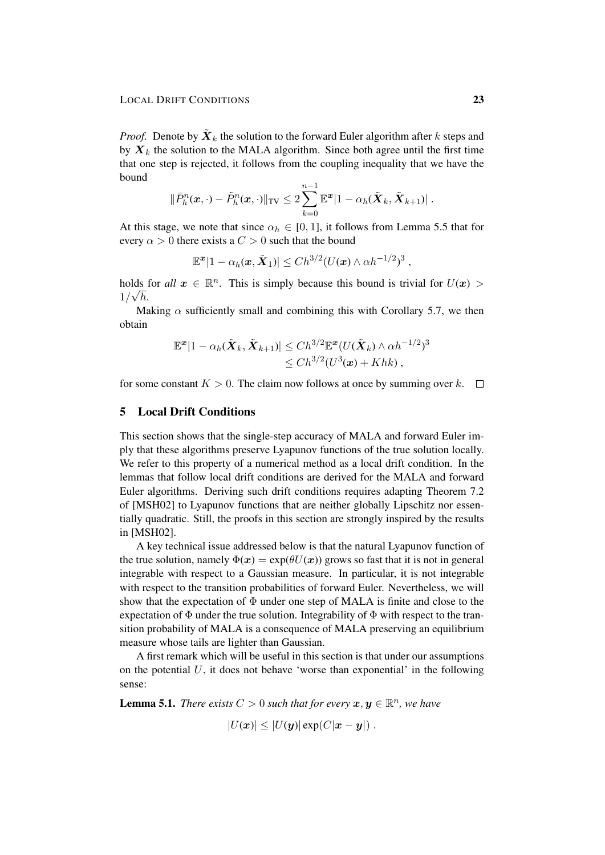*Proof.* Denote by  $\tilde{\boldsymbol{X}}_k$  the solution to the forward Euler algorithm after k steps and by  $X_k$  the solution to the MALA algorithm. Since both agree until the first time that one step is rejected, it follows from the coupling inequality that we have the bound

$$
\|\bar{P}_h^n(\boldsymbol{x},\cdot)-\tilde{P}_h^n(\boldsymbol{x},\cdot)\|_{\text{TV}} \leq 2\sum_{k=0}^{n-1}\mathbb{E}^{\boldsymbol{x}}|1-\alpha_h(\tilde{\boldsymbol{X}}_k,\tilde{\boldsymbol{X}}_{k+1})|.
$$

At this stage, we note that since  $\alpha_h \in [0, 1]$ , it follows from Lemma 5.5 that for every  $\alpha > 0$  there exists a  $C > 0$  such that the bound

$$
\mathbb{E}^{\boldsymbol{x}}|1-\alpha_h(\boldsymbol{x},\tilde{\boldsymbol{X}}_1)|\leq Ch^{3/2}(U(\boldsymbol{x})\wedge\alpha h^{-1/2})^3,
$$

holds for *all*  $x \in \mathbb{R}^n$ . This is simply because this bound is trivial for  $U(x)$  $1/\sqrt{h}$ .

Making  $\alpha$  sufficiently small and combining this with Corollary 5.7, we then obtain

$$
\mathbb{E}^{\boldsymbol{x}}|1-\alpha_h(\tilde{\boldsymbol{X}}_k,\tilde{\boldsymbol{X}}_{k+1})| \leq Ch^{3/2} \mathbb{E}^{\boldsymbol{x}}(U(\tilde{\boldsymbol{X}}_k) \wedge \alpha h^{-1/2})^3\\ \leq Ch^{3/2}(U^3(\boldsymbol{x})+Khk),
$$

for some constant  $K > 0$ . The claim now follows at once by summing over k.  $\square$ 

# 5 Local Drift Conditions

This section shows that the single-step accuracy of MALA and forward Euler imply that these algorithms preserve Lyapunov functions of the true solution locally. We refer to this property of a numerical method as a local drift condition. In the lemmas that follow local drift conditions are derived for the MALA and forward Euler algorithms. Deriving such drift conditions requires adapting Theorem 7.2 of [MSH02] to Lyapunov functions that are neither globally Lipschitz nor essentially quadratic. Still, the proofs in this section are strongly inspired by the results in [MSH02].

A key technical issue addressed below is that the natural Lyapunov function of the true solution, namely  $\Phi(x) = \exp(\theta U(x))$  grows so fast that it is not in general integrable with respect to a Gaussian measure. In particular, it is not integrable with respect to the transition probabilities of forward Euler. Nevertheless, we will show that the expectation of  $\Phi$  under one step of MALA is finite and close to the expectation of  $\Phi$  under the true solution. Integrability of  $\Phi$  with respect to the transition probability of MALA is a consequence of MALA preserving an equilibrium measure whose tails are lighter than Gaussian.

A first remark which will be useful in this section is that under our assumptions on the potential  $U$ , it does not behave 'worse than exponential' in the following sense:

**Lemma 5.1.** *There exists*  $C > 0$  *such that for every*  $x, y \in \mathbb{R}^n$ *, we have* 

$$
|U(\boldsymbol{x})| \leq |U(\boldsymbol{y})| \exp(C|\boldsymbol{x} - \boldsymbol{y}|).
$$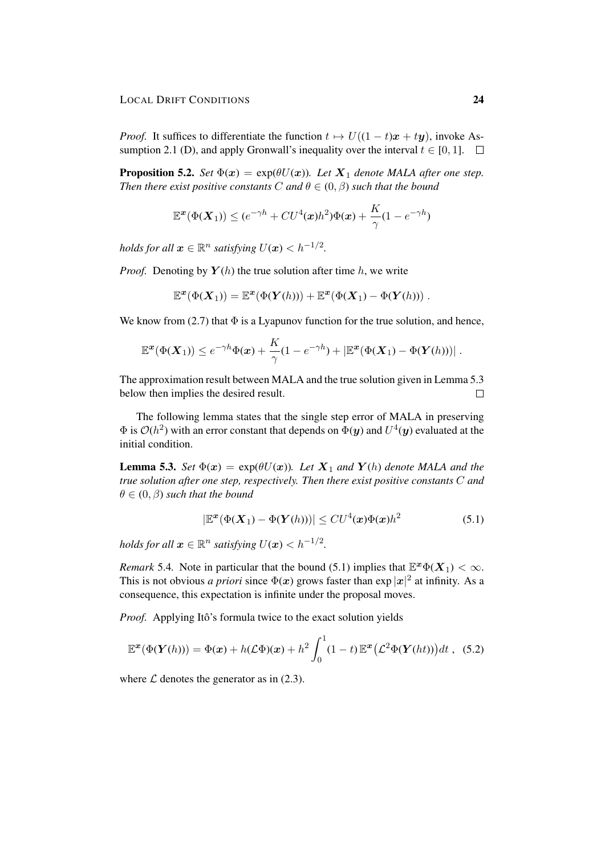*Proof.* It suffices to differentiate the function  $t \mapsto U((1 - t)x + ty)$ , invoke Assumption 2.1 (D), and apply Gronwall's inequality over the interval  $t \in [0, 1]$ .  $\Box$ 

**Proposition 5.2.** *Set*  $\Phi(x) = \exp(\theta U(x))$ *. Let*  $X_1$  *denote MALA after one step. Then there exist positive constants C and*  $\theta \in (0, \beta)$  *such that the bound* 

$$
\mathbb{E}^{\boldsymbol{x}}(\Phi(\boldsymbol{X}_1)) \leq (e^{-\gamma h} + C U^4(\boldsymbol{x}) h^2) \Phi(\boldsymbol{x}) + \frac{K}{\gamma} (1-e^{-\gamma h})
$$

*holds for all*  $\boldsymbol{x} \in \mathbb{R}^n$  *satisfying*  $U(\boldsymbol{x}) < h^{-1/2}$ *.* 

*Proof.* Denoting by  $Y(h)$  the true solution after time h, we write

 $\mathbb{R}^n$ 

$$
\mathbb{E}^{\boldsymbol{x}}(\Phi(\boldsymbol{X}_1)) = \mathbb{E}^{\boldsymbol{x}}(\Phi(\boldsymbol{Y}(h))) + \mathbb{E}^{\boldsymbol{x}}(\Phi(\boldsymbol{X}_1) - \Phi(\boldsymbol{Y}(h)))
$$

We know from (2.7) that  $\Phi$  is a Lyapunov function for the true solution, and hence,

$$
\mathbb{E}^{\boldsymbol{x}}(\Phi(\boldsymbol{X}_1)) \leq e^{-\gamma h} \Phi(\boldsymbol{x}) + \frac{K}{\gamma} (1 - e^{-\gamma h}) + |\mathbb{E}^{\boldsymbol{x}}(\Phi(\boldsymbol{X}_1) - \Phi(\boldsymbol{Y}(h)))|.
$$

The approximation result between MALA and the true solution given in Lemma 5.3 below then implies the desired result.  $\Box$ 

The following lemma states that the single step error of MALA in preserving  $\Phi$  is  $\mathcal{O}(h^2)$  with an error constant that depends on  $\Phi(y)$  and  $U^4(y)$  evaluated at the initial condition.

**Lemma 5.3.** *Set*  $\Phi(x) = \exp(\theta U(x))$ *. Let*  $X_1$  *and*  $Y(h)$  *denote MALA and the true solution after one step, respectively. Then there exist positive constants* C *and*  $\theta \in (0, \beta)$  *such that the bound* 

$$
\left|\mathbb{E}^{\boldsymbol{x}}(\Phi(\boldsymbol{X}_1) - \Phi(\boldsymbol{Y}(h)))\right| \leq C U^4(\boldsymbol{x}) \Phi(\boldsymbol{x}) h^2 \tag{5.1}
$$

*holds for all*  $\boldsymbol{x} \in \mathbb{R}^n$  *satisfying*  $U(\boldsymbol{x}) < h^{-1/2}$ .

*Remark* 5.4. Note in particular that the bound (5.1) implies that  $\mathbb{E}^x \Phi(X_1) < \infty$ . This is not obvious *a priori* since  $\Phi(x)$  grows faster than  $\exp|x|^2$  at infinity. As a consequence, this expectation is infinite under the proposal moves.

*Proof.* Applying Itô's formula twice to the exact solution yields

$$
\mathbb{E}^{\mathbf{x}}(\Phi(\mathbf{Y}(h))) = \Phi(\mathbf{x}) + h(\mathcal{L}\Phi)(\mathbf{x}) + h^2 \int_0^1 (1-t) \mathbb{E}^{\mathbf{x}}(\mathcal{L}^2 \Phi(\mathbf{Y}(ht))) dt , \quad (5.2)
$$

where  $\mathcal L$  denotes the generator as in (2.3).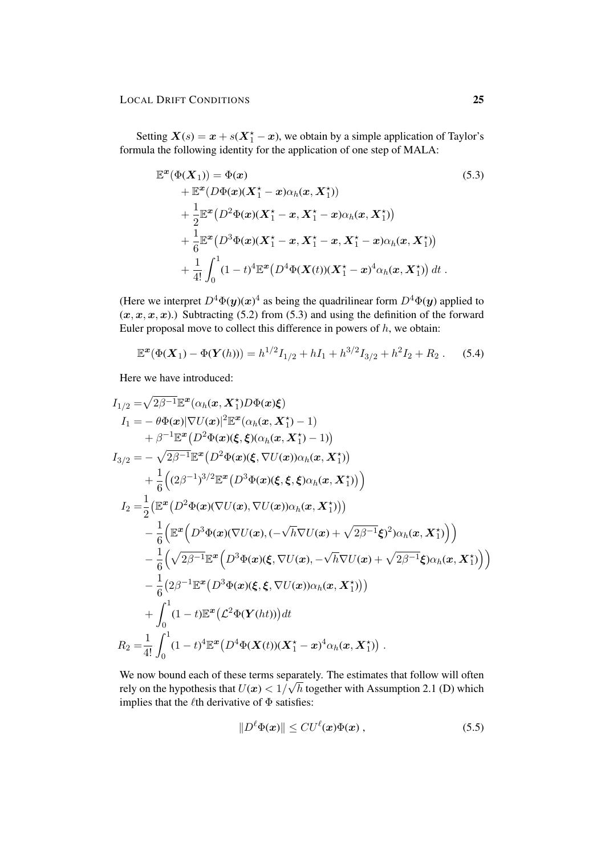Setting  $X(s) = x + s(X_1^* - x)$ , we obtain by a simple application of Taylor's formula the following identity for the application of one step of MALA:

$$
\mathbb{E}^{x}(\Phi(X_{1})) = \Phi(x)
$$
\n
$$
+ \mathbb{E}^{x}(D\Phi(x)(X_{1}^{*}-x)\alpha_{h}(x, X_{1}^{*}))
$$
\n
$$
+ \frac{1}{2}\mathbb{E}^{x}(D^{2}\Phi(x)(X_{1}^{*}-x, X_{1}^{*}-x)\alpha_{h}(x, X_{1}^{*}))
$$
\n
$$
+ \frac{1}{6}\mathbb{E}^{x}(D^{3}\Phi(x)(X_{1}^{*}-x, X_{1}^{*}-x, X_{1}^{*}-x)\alpha_{h}(x, X_{1}^{*}))
$$
\n
$$
+ \frac{1}{4!}\int_{0}^{1}(1-t)^{4}\mathbb{E}^{x}(D^{4}\Phi(X(t))(X_{1}^{*}-x)^{4}\alpha_{h}(x, X_{1}^{*})) dt.
$$
\n(5.3)

(Here we interpret  $D^4\Phi(y)(x)^4$  as being the quadrilinear form  $D^4\Phi(y)$  applied to  $(x, x, x, x)$ .) Subtracting (5.2) from (5.3) and using the definition of the forward Euler proposal move to collect this difference in powers of  $h$ , we obtain:

$$
\mathbb{E}^{\mathbf{x}}(\Phi(\mathbf{X}_1) - \Phi(\mathbf{Y}(h))) = h^{1/2} I_{1/2} + hI_1 + h^{3/2} I_{3/2} + h^2 I_2 + R_2.
$$
 (5.4)

Here we have introduced:

$$
I_{1/2} = \sqrt{2\beta^{-1}} \mathbb{E}^{x} (\alpha_{h}(\boldsymbol{x}, X_{1}^{*}) D \Phi(\boldsymbol{x}) \xi)
$$
  
\n
$$
I_{1} = -\theta \Phi(\boldsymbol{x}) |\nabla U(\boldsymbol{x})|^{2} \mathbb{E}^{x} (\alpha_{h}(\boldsymbol{x}, X_{1}^{*}) - 1)
$$
  
\n
$$
+ \beta^{-1} \mathbb{E}^{x} (D^{2} \Phi(\boldsymbol{x}) (\xi, \xi) (\alpha_{h}(\boldsymbol{x}, X_{1}^{*}) - 1))
$$
  
\n
$$
I_{3/2} = -\sqrt{2\beta^{-1}} \mathbb{E}^{x} (D^{2} \Phi(\boldsymbol{x}) (\xi, \nabla U(\boldsymbol{x})) \alpha_{h}(\boldsymbol{x}, X_{1}^{*}))
$$
  
\n
$$
+ \frac{1}{6} ((2\beta^{-1})^{3/2} \mathbb{E}^{x} (D^{3} \Phi(\boldsymbol{x}) (\xi, \xi, \xi) \alpha_{h}(\boldsymbol{x}, X_{1}^{*})) )
$$
  
\n
$$
I_{2} = \frac{1}{2} (\mathbb{E}^{x} (D^{2} \Phi(\boldsymbol{x}) (\nabla U(\boldsymbol{x}), \nabla U(\boldsymbol{x})) \alpha_{h}(\boldsymbol{x}, X_{1}^{*})) )
$$
  
\n
$$
- \frac{1}{6} (\mathbb{E}^{x} (D^{3} \Phi(\boldsymbol{x}) (\nabla U(\boldsymbol{x}), (-\sqrt{h} \nabla U(\boldsymbol{x}) + \sqrt{2\beta^{-1}} \xi)^{2}) \alpha_{h}(\boldsymbol{x}, X_{1}^{*}) ) )
$$
  
\n
$$
- \frac{1}{6} (\sqrt{2\beta^{-1}} \mathbb{E}^{x} (D^{3} \Phi(\boldsymbol{x}) (\xi, \nabla U(\boldsymbol{x}), -\sqrt{h} \nabla U(\boldsymbol{x}) + \sqrt{2\beta^{-1}} \xi) \alpha_{h}(\boldsymbol{x}, X_{1}^{*}) ) )
$$
  
\n
$$
- \frac{1}{6} (2\beta^{-1} \mathbb{E}^{x} (D^{3} \Phi(\boldsymbol{x}) (\xi, \xi, \nabla U(\boldsymbol{x})) \alpha_{h}(\boldsymbol{x}, X_{1}^{*})) )
$$
  
\n
$$
+ \int_{0}^{1} (1 - t) \mathbb{E}^{
$$

We now bound each of these terms separately. The estimates that follow will often rely on the hypothesis that  $U(x) < 1/\sqrt{h}$  together with Assumption 2.1 (D) which implies that the  $\ell$ th derivative of  $\Phi$  satisfies:

$$
||D^{\ell}\Phi(\boldsymbol{x})|| \leq C U^{\ell}(\boldsymbol{x}) \Phi(\boldsymbol{x}) , \qquad (5.5)
$$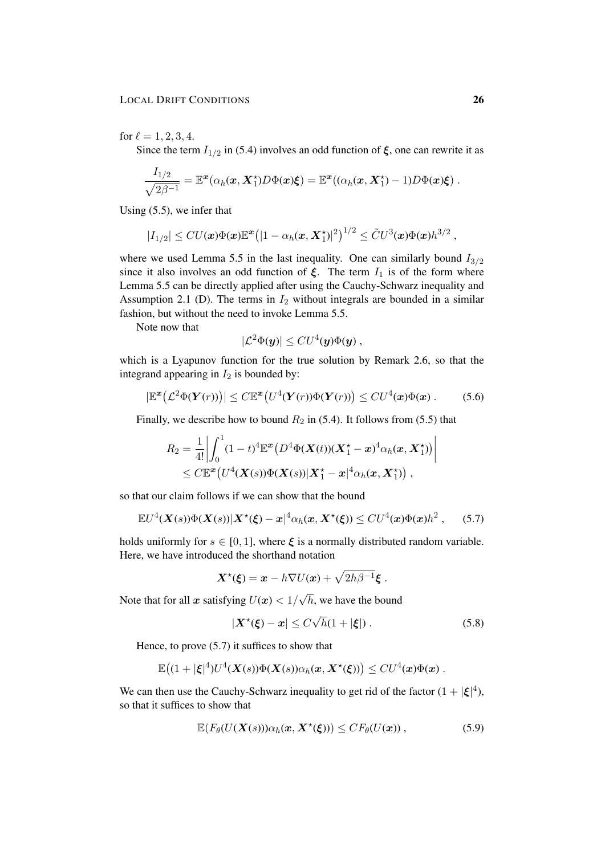for  $\ell = 1, 2, 3, 4$ .

Since the term  $I_{1/2}$  in (5.4) involves an odd function of  $\xi$ , one can rewrite it as

$$
\frac{I_{1/2}}{\sqrt{2\beta^{-1}}}=\mathbb{E}^{\boldsymbol{x}}(\alpha_{h}(\boldsymbol{x},\boldsymbol{X}^{\star}_{1})D\Phi(\boldsymbol{x})\boldsymbol{\xi})=\mathbb{E}^{\boldsymbol{x}}((\alpha_{h}(\boldsymbol{x},\boldsymbol{X}^{\star}_{1})-1)D\Phi(\boldsymbol{x})\boldsymbol{\xi})~.
$$

Using (5.5), we infer that

$$
|I_{1/2}| \leq CU(\boldsymbol{x})\Phi(\boldsymbol{x})\mathbb{E}^{\boldsymbol{x}}\big(|1-\alpha_h(\boldsymbol{x},\boldsymbol{X}_1^\star)|^2\big)^{1/2} \leq \tilde{C}U^3(\boldsymbol{x})\Phi(\boldsymbol{x})h^{3/2},
$$

where we used Lemma 5.5 in the last inequality. One can similarly bound  $I_{3/2}$ since it also involves an odd function of  $\xi$ . The term  $I_1$  is of the form where Lemma 5.5 can be directly applied after using the Cauchy-Schwarz inequality and Assumption 2.1 (D). The terms in  $I_2$  without integrals are bounded in a similar fashion, but without the need to invoke Lemma 5.5.

Note now that

$$
|\mathcal{L}^2 \Phi(y)| \leq C U^4(y) \Phi(y) ,
$$

which is a Lyapunov function for the true solution by Remark 2.6, so that the integrand appearing in  $I_2$  is bounded by:

$$
\left|\mathbb{E}^{\boldsymbol{x}}\big(\mathcal{L}^2\Phi(\boldsymbol{Y}(r))\big)\right| \leq C\mathbb{E}^{\boldsymbol{x}}\big(U^4(\boldsymbol{Y}(r))\Phi(\boldsymbol{Y}(r))\big) \leq C U^4(\boldsymbol{x})\Phi(\boldsymbol{x})\,. \tag{5.6}
$$

Finally, we describe how to bound  $R_2$  in (5.4). It follows from (5.5) that

$$
R_2 = \frac{1}{4!} \left| \int_0^1 (1-t)^4 \mathbb{E}^{\boldsymbol{x}} \big( D^4 \Phi(\boldsymbol{X}(t)) (\boldsymbol{X}_1^\star - \boldsymbol{x})^4 \alpha_h(\boldsymbol{x}, \boldsymbol{X}_1^\star) \big) \right| \\ \leq C \mathbb{E}^{\boldsymbol{x}} \big( U^4(\boldsymbol{X}(s)) \Phi(\boldsymbol{X}(s)) |\boldsymbol{X}_1^\star - \boldsymbol{x}|^4 \alpha_h(\boldsymbol{x}, \boldsymbol{X}_1^\star) \big) ,
$$

so that our claim follows if we can show that the bound

$$
\mathbb{E}U^{4}(X(s))\Phi(X(s))|X^{\star}(\xi)-x|^{4}\alpha_{h}(x,X^{\star}(\xi))\leq CU^{4}(x)\Phi(x)h^{2},\qquad(5.7)
$$

holds uniformly for  $s \in [0, 1]$ , where  $\xi$  is a normally distributed random variable. Here, we have introduced the shorthand notation

$$
\mathbf{X}^{\star}(\boldsymbol{\xi}) = \boldsymbol{x} - h \nabla U(\boldsymbol{x}) + \sqrt{2h\beta^{-1}}\boldsymbol{\xi}.
$$

Note that for all x satisfying  $U(x) < 1/x$ h, we have the bound

$$
|\mathbf{X}^{\star}(\boldsymbol{\xi}) - \boldsymbol{x}| \le C\sqrt{h}(1 + |\boldsymbol{\xi}|) \,. \tag{5.8}
$$

Hence, to prove (5.7) it suffices to show that

$$
\mathbb{E}\big((1+|\xi|^4)U^4(\boldsymbol{X}(s))\Phi(\boldsymbol{X}(s))\alpha_h(\boldsymbol{x},\boldsymbol{X}^\star(\xi))\big)\leq CU^4(\boldsymbol{x})\Phi(\boldsymbol{x})\ .
$$

We can then use the Cauchy-Schwarz inequality to get rid of the factor  $(1 + |\xi|^4)$ , so that it suffices to show that

$$
\mathbb{E}(F_{\theta}(U(\boldsymbol{X}(s)))\alpha_h(\boldsymbol{x},\boldsymbol{X}^{\star}(\boldsymbol{\xi})))\leq CF_{\theta}(U(\boldsymbol{x}))\,,\tag{5.9}
$$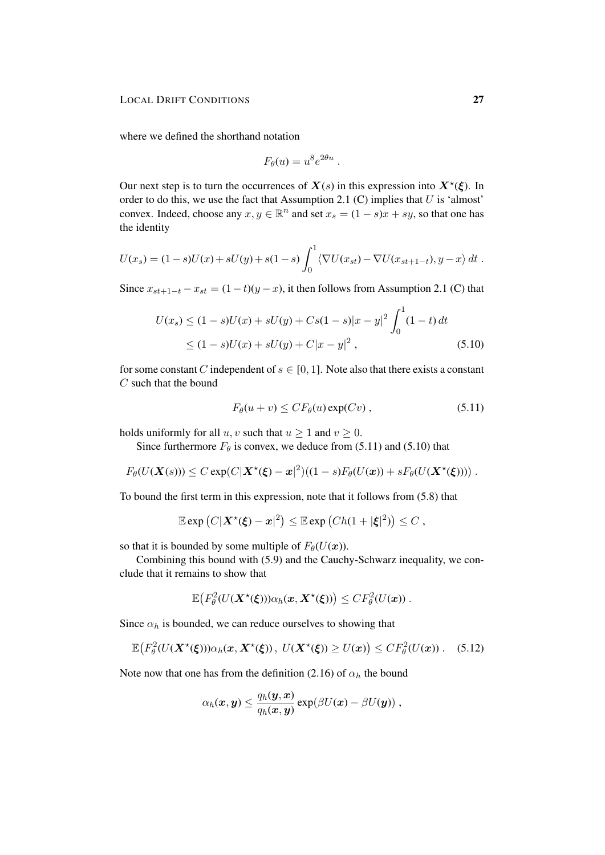where we defined the shorthand notation

$$
F_{\theta}(u) = u^8 e^{2\theta u} .
$$

Our next step is to turn the occurrences of  $X(s)$  in this expression into  $X^*(\xi)$ . In order to do this, we use the fact that Assumption 2.1 (C) implies that  $U$  is 'almost' convex. Indeed, choose any  $x, y \in \mathbb{R}^n$  and set  $x_s = (1 - s)x + sy$ , so that one has the identity

$$
U(x_s) = (1-s)U(x) + sU(y) + s(1-s)\int_0^1 \langle \nabla U(x_{st}) - \nabla U(x_{st+1-t}), y - x \rangle dt.
$$

Since  $x_{st+1-t} - x_{st} = (1-t)(y-x)$ , it then follows from Assumption 2.1 (C) that

$$
U(x_s) \le (1 - s)U(x) + sU(y) + Cs(1 - s)|x - y|^2 \int_0^1 (1 - t) dt
$$
  
 
$$
\le (1 - s)U(x) + sU(y) + C|x - y|^2,
$$
 (5.10)

for some constant C independent of  $s \in [0, 1]$ . Note also that there exists a constant C such that the bound

$$
F_{\theta}(u+v) \leq CF_{\theta}(u) \exp(Cv) , \qquad (5.11)
$$

holds uniformly for all  $u, v$  such that  $u \ge 1$  and  $v \ge 0$ .

Since furthermore  $F_{\theta}$  is convex, we deduce from (5.11) and (5.10) that

$$
F_{\theta}(U(\mathbf{X}(s))) \leq C \exp(C|\mathbf{X}^{\star}(\boldsymbol{\xi}) - \boldsymbol{x}|^{2})((1-s)F_{\theta}(U(\boldsymbol{x})) + sF_{\theta}(U(\mathbf{X}^{\star}(\boldsymbol{\xi}))) ).
$$

To bound the first term in this expression, note that it follows from (5.8) that

$$
\mathbb{E} \exp (C |\mathbf{X}^{\star}(\boldsymbol{\xi}) - \boldsymbol{x}|^2) \leq \mathbb{E} \exp (Ch(1 + |\boldsymbol{\xi}|^2)) \leq C,
$$

so that it is bounded by some multiple of  $F_{\theta}(U(\boldsymbol{x}))$ .

Combining this bound with (5.9) and the Cauchy-Schwarz inequality, we conclude that it remains to show that

$$
\mathbb{E}\big(F_{\theta}^2(U(\mathbf{X}^{\star}(\boldsymbol{\xi})))\alpha_h(\boldsymbol{x},\mathbf{X}^{\star}(\boldsymbol{\xi}))\big)\leq CF_{\theta}^2(U(\boldsymbol{x}))\;.
$$

Since  $\alpha_h$  is bounded, we can reduce ourselves to showing that

$$
\mathbb{E}\big(F_{\theta}^2(U(\mathbf{X}^{\star}(\xi)))\alpha_h(\mathbf{x},\mathbf{X}^{\star}(\xi)),\ U(\mathbf{X}^{\star}(\xi))\geq U(\mathbf{x})\big)\leq CF_{\theta}^2(U(\mathbf{x}))\ .\tag{5.12}
$$

Note now that one has from the definition (2.16) of  $\alpha_h$  the bound

$$
\alpha_h(\boldsymbol{x},\boldsymbol{y}) \leq \frac{q_h(\boldsymbol{y},\boldsymbol{x})}{q_h(\boldsymbol{x},\boldsymbol{y})} \exp(\beta U(\boldsymbol{x}) - \beta U(\boldsymbol{y})) \ ,
$$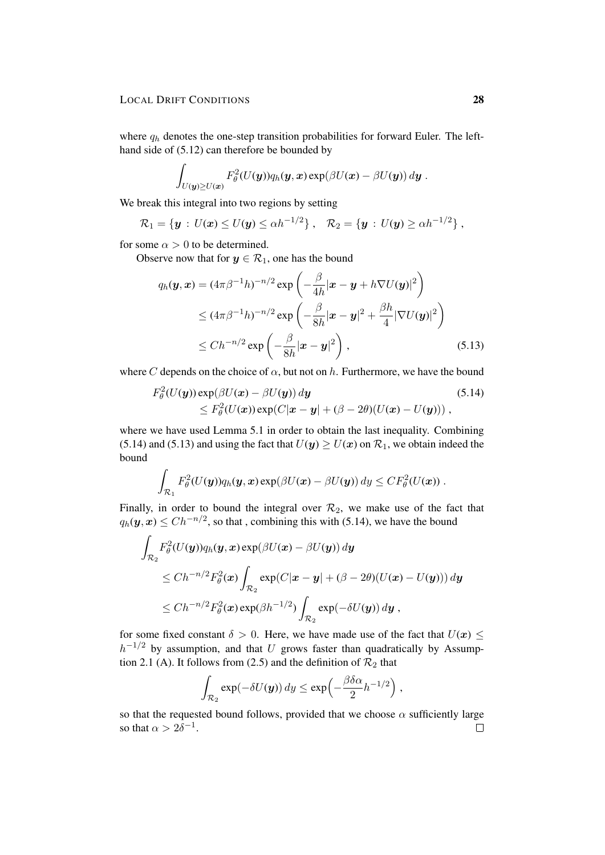where  $q_h$  denotes the one-step transition probabilities for forward Euler. The lefthand side of (5.12) can therefore be bounded by

$$
\int_{U({\boldsymbol y}) \geq U({\boldsymbol x})} F_\theta^2(U({\boldsymbol y})) q_h({\boldsymbol y}, {\boldsymbol x}) \exp(\beta U({\boldsymbol x}) - \beta U({\boldsymbol y}))\, d{\boldsymbol y} \; .
$$

We break this integral into two regions by setting

$$
\mathcal{R}_1 = \{ \bm{y} : U(\bm{x}) \leq U(\bm{y}) \leq \alpha h^{-1/2} \}, \quad \mathcal{R}_2 = \{ \bm{y} : U(\bm{y}) \geq \alpha h^{-1/2} \},
$$

for some  $\alpha > 0$  to be determined.

Observe now that for  $y \in \mathcal{R}_1$ , one has the bound

$$
q_h(\mathbf{y}, \mathbf{x}) = (4\pi\beta^{-1}h)^{-n/2} \exp\left(-\frac{\beta}{4h}|\mathbf{x} - \mathbf{y} + h\nabla U(\mathbf{y})|^2\right)
$$
  
\n
$$
\leq (4\pi\beta^{-1}h)^{-n/2} \exp\left(-\frac{\beta}{8h}|\mathbf{x} - \mathbf{y}|^2 + \frac{\beta h}{4}|\nabla U(\mathbf{y})|^2\right)
$$
  
\n
$$
\leq Ch^{-n/2} \exp\left(-\frac{\beta}{8h}|\mathbf{x} - \mathbf{y}|^2\right),
$$
\n(5.13)

where C depends on the choice of  $\alpha$ , but not on h. Furthermore, we have the bound

$$
F_{\theta}^{2}(U(y))\exp(\beta U(x) - \beta U(y)) dy
$$
\n
$$
\leq F_{\theta}^{2}(U(x))\exp(C|x - y| + (\beta - 2\theta)(U(x) - U(y))),
$$
\n(5.14)

where we have used Lemma 5.1 in order to obtain the last inequality. Combining (5.14) and (5.13) and using the fact that  $U(y) \ge U(x)$  on  $\mathcal{R}_1$ , we obtain indeed the bound

$$
\int_{\mathcal{R}_1} F_{\theta}^2(U(\boldsymbol{y})) q_h(\boldsymbol{y},\boldsymbol{x}) \exp(\beta U(\boldsymbol{x}) - \beta U(\boldsymbol{y})) \, d y \leq C F_{\theta}^2(U(\boldsymbol{x})) .
$$

Finally, in order to bound the integral over  $\mathcal{R}_2$ , we make use of the fact that  $q_h(\mathbf{y}, \mathbf{x}) \leq Ch^{-n/2}$ , so that , combining this with (5.14), we have the bound

$$
\int_{\mathcal{R}_2} F_{\theta}^2(U(\mathbf{y}))q_h(\mathbf{y}, \mathbf{x}) \exp(\beta U(\mathbf{x}) - \beta U(\mathbf{y})) d\mathbf{y}
$$
\n
$$
\leq Ch^{-n/2} F_{\theta}^2(\mathbf{x}) \int_{\mathcal{R}_2} \exp(C|\mathbf{x} - \mathbf{y}| + (\beta - 2\theta)(U(\mathbf{x}) - U(\mathbf{y}))) d\mathbf{y}
$$
\n
$$
\leq Ch^{-n/2} F_{\theta}^2(\mathbf{x}) \exp(\beta h^{-1/2}) \int_{\mathcal{R}_2} \exp(-\delta U(\mathbf{y})) d\mathbf{y},
$$

for some fixed constant  $\delta > 0$ . Here, we have made use of the fact that  $U(x) \leq$  $h^{-1/2}$  by assumption, and that U grows faster than quadratically by Assumption 2.1 (A). It follows from (2.5) and the definition of  $\mathcal{R}_2$  that

$$
\int_{\mathcal{R}_2} \exp(-\delta U(\boldsymbol{y})) \, d y \le \exp\left(-\frac{\beta \delta \alpha}{2} h^{-1/2}\right),
$$

so that the requested bound follows, provided that we choose  $\alpha$  sufficiently large so that  $\alpha > 2\delta^{-1}$ .  $\Box$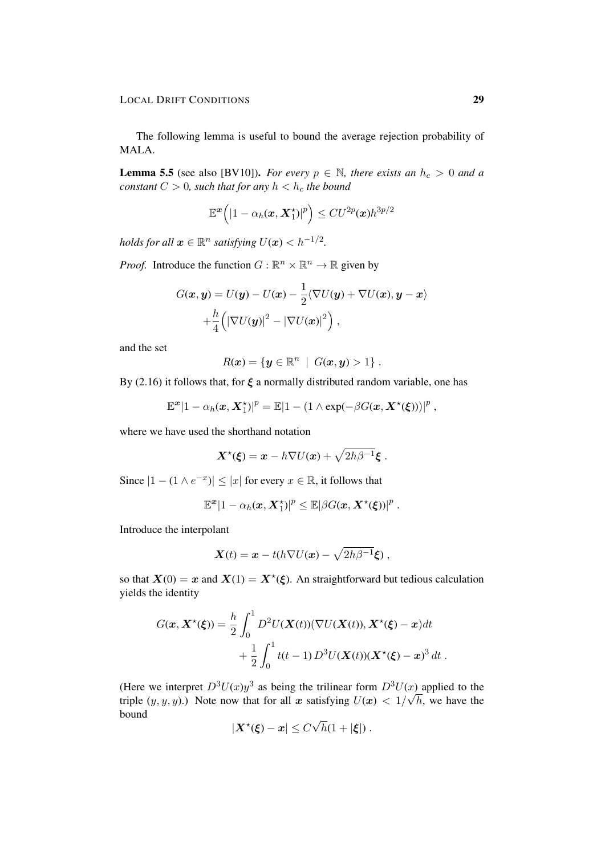The following lemma is useful to bound the average rejection probability of MALA.

**Lemma 5.5** (see also [BV10]). *For every*  $p \in \mathbb{N}$ , there exists an  $h_c > 0$  and a *constant*  $C > 0$ *, such that for any*  $h < h_c$  *the bound* 

$$
\mathbb{E}^{\boldsymbol{x}}\Big(|1-\alpha_h(\boldsymbol{x},\boldsymbol{X}^{\star}_1)|^p\Big)\leq C U^{2p}(\boldsymbol{x})h^{3p/2}
$$

*holds for all*  $\boldsymbol{x} \in \mathbb{R}^n$  *satisfying*  $U(\boldsymbol{x}) < h^{-1/2}$ .

*Proof.* Introduce the function  $G : \mathbb{R}^n \times \mathbb{R}^n \to \mathbb{R}$  given by

$$
G(\boldsymbol{x}, \boldsymbol{y}) = U(\boldsymbol{y}) - U(\boldsymbol{x}) - \frac{1}{2} \langle \nabla U(\boldsymbol{y}) + \nabla U(\boldsymbol{x}), \boldsymbol{y} - \boldsymbol{x} \rangle
$$

$$
+ \frac{h}{4} \left( |\nabla U(\boldsymbol{y})|^2 - |\nabla U(\boldsymbol{x})|^2 \right),
$$

and the set

$$
R(\boldsymbol{x}) = \{\boldsymbol{y} \in \mathbb{R}^n \mid G(\boldsymbol{x}, \boldsymbol{y}) > 1\}.
$$

By (2.16) it follows that, for  $\xi$  a normally distributed random variable, one has

$$
\mathbb{E}^{\boldsymbol{x}}|1-\alpha_h(\boldsymbol{x},\boldsymbol{X}^{\star}_1)|^p=\mathbb{E}|1-(1\wedge \exp(-\beta G(\boldsymbol{x},\boldsymbol{X}^{\star}(\boldsymbol{\xi})))|^p,
$$

where we have used the shorthand notation

$$
\mathbf{X}^{\star}(\boldsymbol{\xi}) = \boldsymbol{x} - h \nabla U(\boldsymbol{x}) + \sqrt{2h\beta^{-1}}\boldsymbol{\xi}.
$$

Since  $|1 - (1 \wedge e^{-x})| \leq |x|$  for every  $x \in \mathbb{R}$ , it follows that

$$
\mathbb{E}^{\boldsymbol{x}}|1-\alpha_h(\boldsymbol{x},\boldsymbol{X}^{\star}_1)|^p\leq \mathbb{E}|\beta G(\boldsymbol{x},\boldsymbol{X}^{\star}(\boldsymbol{\xi}))|^p.
$$

Introduce the interpolant

$$
\mathbf{X}(t) = \mathbf{x} - t(h\nabla U(\mathbf{x}) - \sqrt{2h\beta^{-1}}\boldsymbol{\xi})\,,
$$

so that  $X(0) = x$  and  $X(1) = X^*(\xi)$ . An straightforward but tedious calculation yields the identity

$$
G(\boldsymbol{x}, \boldsymbol{X}^{\star}(\boldsymbol{\xi})) = \frac{h}{2} \int_0^1 D^2 U(\boldsymbol{X}(t)) (\nabla U(\boldsymbol{X}(t)), \boldsymbol{X}^{\star}(\boldsymbol{\xi}) - \boldsymbol{x}) dt + \frac{1}{2} \int_0^1 t(t-1) D^3 U(\boldsymbol{X}(t)) (\boldsymbol{X}^{\star}(\boldsymbol{\xi}) - \boldsymbol{x})^3 dt.
$$

(Here we interpret  $D^3U(x)y^3$  as being the trilinear form  $D^3U(x)$  applied to the triple  $(y, y, y)$ .) Note now that for all x satisfying  $U(x) < 1/\sqrt{h}$ , we have the bound √

$$
|\boldsymbol{X}^{\star}(\boldsymbol{\xi})-\boldsymbol{x}| \leq C\sqrt{h}(1+|\boldsymbol{\xi}|).
$$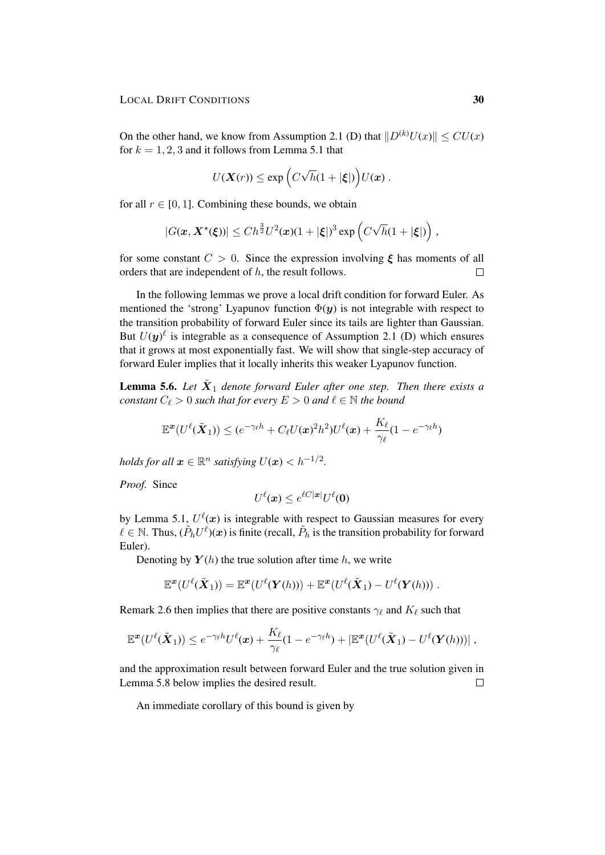On the other hand, we know from Assumption 2.1 (D) that  $||D^{(k)}U(x)|| \leq CU(x)$ for  $k = 1, 2, 3$  and it follows from Lemma 5.1 that

$$
U(\mathbf{X}(r)) \leq \exp\left(C\sqrt{h}(1+|\boldsymbol{\xi}|)\right)U(\boldsymbol{x}).
$$

for all  $r \in [0, 1]$ . Combining these bounds, we obtain

$$
|G(\boldsymbol{x},\boldsymbol{X}^{\star}(\boldsymbol{\xi}))| \leq Ch^{\frac{3}{2}}U^2(\boldsymbol{x})(1+|\boldsymbol{\xi}|)^3\exp\left(C\sqrt{h}(1+|\boldsymbol{\xi}|)\right),
$$

for some constant  $C > 0$ . Since the expression involving  $\xi$  has moments of all orders that are independent of h, the result follows.  $\Box$ 

In the following lemmas we prove a local drift condition for forward Euler. As mentioned the 'strong' Lyapunov function  $\Phi(y)$  is not integrable with respect to the transition probability of forward Euler since its tails are lighter than Gaussian. But  $U(y)^{\ell}$  is integrable as a consequence of Assumption 2.1 (D) which ensures that it grows at most exponentially fast. We will show that single-step accuracy of forward Euler implies that it locally inherits this weaker Lyapunov function.

**Lemma 5.6.** Let  $\tilde{\boldsymbol{X}}_1$  denote forward Euler after one step. Then there exists a *constant*  $C_{\ell} > 0$  *such that for every*  $E > 0$  *and*  $\ell \in \mathbb{N}$  *the bound* 

$$
\mathbb{E}^{\boldsymbol{x}}(U^{\ell}(\tilde{\boldsymbol{X}}_{1})) \leq (e^{-\gamma_{\ell} h} + C_{\ell}U(\boldsymbol{x})^{2}h^{2})U^{\ell}(\boldsymbol{x}) + \frac{K_{\ell}}{\gamma_{\ell}}(1-e^{-\gamma_{\ell} h})
$$

*holds for all*  $\boldsymbol{x} \in \mathbb{R}^n$  *satisfying*  $U(\boldsymbol{x}) < h^{-1/2}$ .

*Proof.* Since

$$
U^{\ell}(\boldsymbol{x}) \leq e^{\ell C |\boldsymbol{x}|} U^{\ell}(\boldsymbol{0})
$$

by Lemma 5.1,  $U^{\ell}(\boldsymbol{x})$  is integrable with respect to Gaussian measures for every  $\ell \in \mathbb{N}$ . Thus,  $(\tilde{P}_h U^{\ell})(x)$  is finite (recall,  $\tilde{P}_h$  is the transition probability for forward Euler).

Denoting by  $Y(h)$  the true solution after time h, we write

$$
\mathbb{E}^{\mathbf{x}}(U^{\ell}(\tilde{\mathbf{X}}_1)) = \mathbb{E}^{\mathbf{x}}(U^{\ell}(\mathbf{Y}(h))) + \mathbb{E}^{\mathbf{x}}(U^{\ell}(\tilde{\mathbf{X}}_1) - U^{\ell}(\mathbf{Y}(h))) .
$$

Remark 2.6 then implies that there are positive constants  $\gamma_\ell$  and  $K_\ell$  such that

$$
\mathbb{E}^{\boldsymbol{x}}(U^{\ell}(\tilde{\boldsymbol{X}}_1)) \leq e^{-\gamma_{\ell}h}U^{\ell}(\boldsymbol{x}) + \frac{K_{\ell}}{\gamma_{\ell}}(1 - e^{-\gamma_{\ell}h}) + |\mathbb{E}^{\boldsymbol{x}}(U^{\ell}(\tilde{\boldsymbol{X}}_1) - U^{\ell}(\boldsymbol{Y}(h)))|,
$$

and the approximation result between forward Euler and the true solution given in Lemma 5.8 below implies the desired result.  $\Box$ 

An immediate corollary of this bound is given by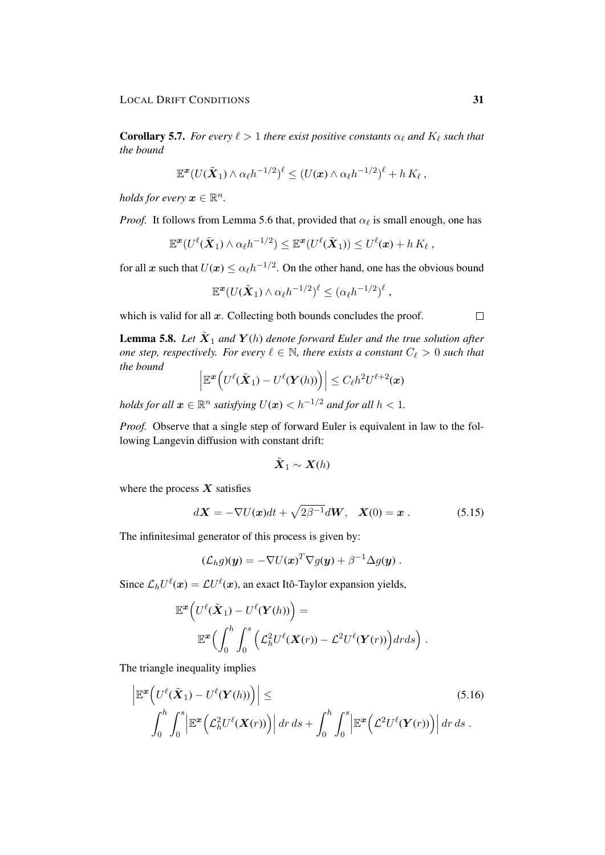**Corollary 5.7.** *For every*  $\ell > 1$  *there exist positive constants*  $\alpha_{\ell}$  *and*  $K_{\ell}$  *such that the bound*

$$
\mathbb{E}^{\boldsymbol{x}}(U(\tilde{\boldsymbol{X}}_1)\wedge \alpha_{\ell}h^{-1/2})^{\ell} \leq (U(\boldsymbol{x})\wedge \alpha_{\ell}h^{-1/2})^{\ell} + h\,K_{\ell}\,,
$$

*holds for every*  $x \in \mathbb{R}^n$ .

*Proof.* It follows from Lemma 5.6 that, provided that  $\alpha_{\ell}$  is small enough, one has

$$
\mathbb{E}^{\boldsymbol{x}}(U^{\ell}(\tilde{\boldsymbol{X}}_1)\wedge \alpha_{\ell}h^{-1/2}) \leq \mathbb{E}^{\boldsymbol{x}}(U^{\ell}(\tilde{\boldsymbol{X}}_1)) \leq U^{\ell}(\boldsymbol{x}) + h\,K_{\ell}\,,
$$

for all x such that  $U(x) \le \alpha_\ell h^{-1/2}$ . On the other hand, one has the obvious bound

$$
\mathbb{E}^{\boldsymbol{x}}(U(\tilde{\boldsymbol{X}}_1) \wedge \alpha_{\ell}h^{-1/2})^{\ell} \leq (\alpha_{\ell}h^{-1/2})^{\ell},
$$

which is valid for all  $x$ . Collecting both bounds concludes the proof.

**Lemma 5.8.** Let  $\tilde{\boldsymbol{X}}_1$  and  $\boldsymbol{Y}(h)$  denote forward Euler and the true solution after *one step, respectively. For every*  $\ell \in \mathbb{N}$ , there exists a constant  $C_{\ell} > 0$  such that *the bound*

$$
\left|\mathbb{E}^{\boldsymbol{x}}\Big(U^{\ell}(\tilde{\boldsymbol{X}}_1)-U^{\ell}(\boldsymbol{Y}(h))\Big)\right|\leq C_{\ell}h^2U^{\ell+2}(\boldsymbol{x})
$$

 $h$ olds for all  $\boldsymbol{x} \in \mathbb{R}^n$  satisfying  $U(\boldsymbol{x}) < h^{-1/2}$  and for all  $h < 1.$ 

*Proof.* Observe that a single step of forward Euler is equivalent in law to the following Langevin diffusion with constant drift:

$$
\tilde{\boldsymbol{X}}_1 \sim \boldsymbol{X}(h)
$$

where the process  $\boldsymbol{X}$  satisfies

$$
d\mathbf{X} = -\nabla U(\mathbf{x})dt + \sqrt{2\beta^{-1}}d\mathbf{W}, \quad \mathbf{X}(0) = \mathbf{x} \ . \tag{5.15}
$$

The infinitesimal generator of this process is given by:

$$
(\mathcal{L}_h g)(\mathbf{y}) = -\nabla U(\mathbf{x})^T \nabla g(\mathbf{y}) + \beta^{-1} \Delta g(\mathbf{y}).
$$

Since  $\mathcal{L}_h U^{\ell}(\boldsymbol{x}) = \mathcal{L} U^{\ell}(\boldsymbol{x})$ , an exact Itô-Taylor expansion yields,

$$
\mathbb{E}^{\mathbf{x}}\Big(U^{\ell}(\tilde{\mathbf{X}}_{1})-U^{\ell}(\mathbf{Y}(h))\Big)=\mathbb{E}^{\mathbf{x}}\Big(\int_{0}^{h}\int_{0}^{s}\Big(\mathcal{L}_{h}^{2}U^{\ell}(\mathbf{X}(r))-\mathcal{L}^{2}U^{\ell}(\mathbf{Y}(r))\Big)drds\Big).
$$

The triangle inequality implies

$$
\left| \mathbb{E}^{\mathbf{x}} \Big( U^{\ell}(\tilde{\mathbf{X}}_1) - U^{\ell}(\mathbf{Y}(h)) \Big) \right| \leq \tag{5.16}
$$

$$
\int_0^h \int_0^s \left| \mathbb{E}^{\mathbf{x}} \Big( \mathcal{L}_h^2 U^{\ell}(\mathbf{X}(r)) \Big) \right| dr ds + \int_0^h \int_0^s \left| \mathbb{E}^{\mathbf{x}} \Big( \mathcal{L}^2 U^{\ell}(\mathbf{Y}(r)) \Big) \right| dr ds.
$$

 $\Box$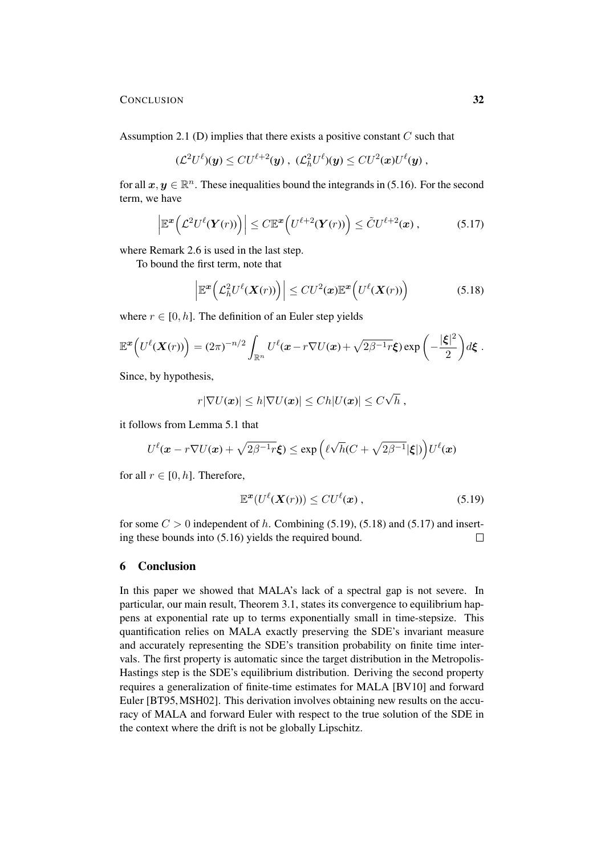### CONCLUSION 32

Assumption 2.1 (D) implies that there exists a positive constant  $C$  such that

$$
(\mathcal{L}^2 U^{\ell})(y) \leq C U^{\ell+2}(y) , \ (\mathcal{L}^2_h U^{\ell})(y) \leq C U^2(x) U^{\ell}(y) ,
$$

for all  $x, y \in \mathbb{R}^n$ . These inequalities bound the integrands in (5.16). For the second term, we have

$$
\left|\mathbb{E}^{\boldsymbol{x}}\Big(\mathcal{L}^2U^{\ell}(\boldsymbol{Y}(r))\Big)\right| \leq C\mathbb{E}^{\boldsymbol{x}}\Big(U^{\ell+2}(\boldsymbol{Y}(r))\Big) \leq \tilde{C}U^{\ell+2}(\boldsymbol{x}), \qquad (5.17)
$$

where Remark 2.6 is used in the last step.

To bound the first term, note that

$$
\left| \mathbb{E}^{\boldsymbol{x}} \big( \mathcal{L}_h^2 U^{\ell}(\boldsymbol{X}(r)) \big) \right| \leq C U^2(\boldsymbol{x}) \mathbb{E}^{\boldsymbol{x}} \big( U^{\ell}(\boldsymbol{X}(r)) \big) \tag{5.18}
$$

where  $r \in [0, h]$ . The definition of an Euler step yields

$$
\mathbb{E}^{\boldsymbol{x}}\Big(U^{\ell}(\boldsymbol{X}(r))\Big)=(2\pi)^{-n/2}\int_{\mathbb{R}^n}U^{\ell}(\boldsymbol{x}-r\nabla U(\boldsymbol{x})+\sqrt{2\beta^{-1}r}\boldsymbol{\xi})\exp\bigg(-\frac{|\boldsymbol{\xi}|^2}{2}\bigg)d\boldsymbol{\xi}.
$$

Since, by hypothesis,

$$
r|\nabla U(\boldsymbol{x})| \leq h|\nabla U(\boldsymbol{x})| \leq Ch|U(\boldsymbol{x})| \leq C\sqrt{h} ,
$$

it follows from Lemma 5.1 that

$$
U^{\ell}(\boldsymbol{x} - r\nabla U(\boldsymbol{x}) + \sqrt{2\beta^{-1}r}\boldsymbol{\xi}) \le \exp\left(\ell\sqrt{h}(C + \sqrt{2\beta^{-1}}|\boldsymbol{\xi}|)\right)U^{\ell}(\boldsymbol{x})
$$

for all  $r \in [0, h]$ . Therefore,

$$
\mathbb{E}^{\boldsymbol{x}}(U^{\ell}(\boldsymbol{X}(r))) \leq C U^{\ell}(\boldsymbol{x}), \qquad (5.19)
$$

for some  $C > 0$  independent of h. Combining (5.19), (5.18) and (5.17) and inserting these bounds into (5.16) yields the required bound.  $\Box$ 

# 6 Conclusion

In this paper we showed that MALA's lack of a spectral gap is not severe. In particular, our main result, Theorem 3.1, states its convergence to equilibrium happens at exponential rate up to terms exponentially small in time-stepsize. This quantification relies on MALA exactly preserving the SDE's invariant measure and accurately representing the SDE's transition probability on finite time intervals. The first property is automatic since the target distribution in the Metropolis-Hastings step is the SDE's equilibrium distribution. Deriving the second property requires a generalization of finite-time estimates for MALA [BV10] and forward Euler [BT95,MSH02]. This derivation involves obtaining new results on the accuracy of MALA and forward Euler with respect to the true solution of the SDE in the context where the drift is not be globally Lipschitz.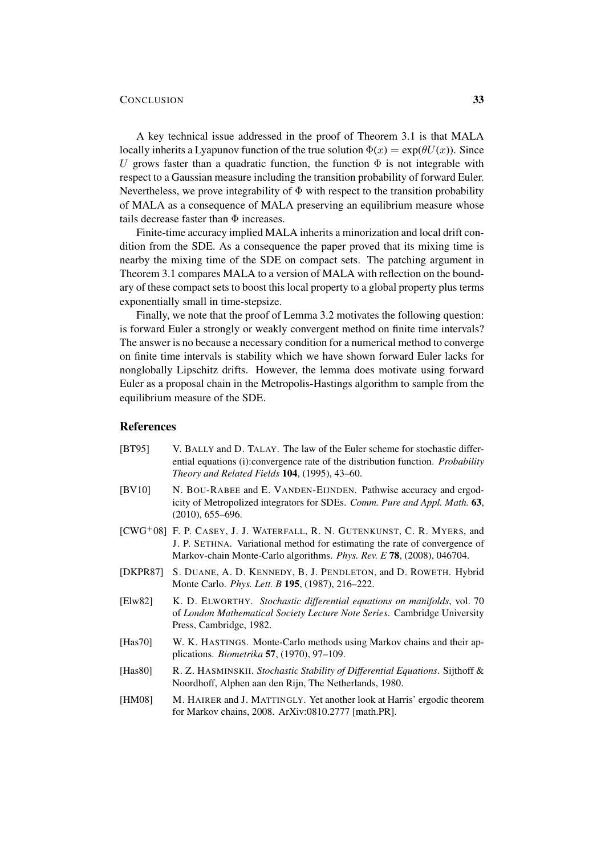## CONCLUSION 33

A key technical issue addressed in the proof of Theorem 3.1 is that MALA locally inherits a Lyapunov function of the true solution  $\Phi(x) = \exp(\theta U(x))$ . Since U grows faster than a quadratic function, the function  $\Phi$  is not integrable with respect to a Gaussian measure including the transition probability of forward Euler. Nevertheless, we prove integrability of  $\Phi$  with respect to the transition probability of MALA as a consequence of MALA preserving an equilibrium measure whose tails decrease faster than  $\Phi$  increases.

Finite-time accuracy implied MALA inherits a minorization and local drift condition from the SDE. As a consequence the paper proved that its mixing time is nearby the mixing time of the SDE on compact sets. The patching argument in Theorem 3.1 compares MALA to a version of MALA with reflection on the boundary of these compact sets to boost this local property to a global property plus terms exponentially small in time-stepsize.

Finally, we note that the proof of Lemma 3.2 motivates the following question: is forward Euler a strongly or weakly convergent method on finite time intervals? The answer is no because a necessary condition for a numerical method to converge on finite time intervals is stability which we have shown forward Euler lacks for nonglobally Lipschitz drifts. However, the lemma does motivate using forward Euler as a proposal chain in the Metropolis-Hastings algorithm to sample from the equilibrium measure of the SDE.

# References

- [BT95] V. BALLY and D. TALAY. The law of the Euler scheme for stochastic differential equations (i):convergence rate of the distribution function. *Probability Theory and Related Fields* 104, (1995), 43–60.
- [BV10] N. BOU-RABEE and E. VANDEN-EIJNDEN. Pathwise accuracy and ergodicity of Metropolized integrators for SDEs. *Comm. Pure and Appl. Math.* 63, (2010), 655–696.
- [CWG<sup>+</sup>08] F. P. CASEY, J. J. WATERFALL, R. N. GUTENKUNST, C. R. MYERS, and J. P. SETHNA. Variational method for estimating the rate of convergence of Markov-chain Monte-Carlo algorithms. *Phys. Rev. E* 78, (2008), 046704.
- [DKPR87] S. DUANE, A. D. KENNEDY, B. J. PENDLETON, and D. ROWETH. Hybrid Monte Carlo. *Phys. Lett. B* 195, (1987), 216–222.
- [Elw82] K. D. ELWORTHY. *Stochastic differential equations on manifolds*, vol. 70 of *London Mathematical Society Lecture Note Series*. Cambridge University Press, Cambridge, 1982.
- [Has70] W. K. HASTINGS. Monte-Carlo methods using Markov chains and their applications. *Biometrika* 57, (1970), 97–109.
- [Has80] R. Z. HASMINSKII. *Stochastic Stability of Differential Equations*. Sijthoff & Noordhoff, Alphen aan den Rijn, The Netherlands, 1980.
- [HM08] M. HAIRER and J. MATTINGLY. Yet another look at Harris' ergodic theorem for Markov chains, 2008. ArXiv:0810.2777 [math.PR].